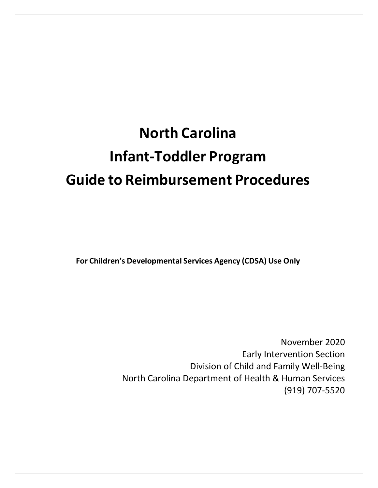# **North Carolina Infant-Toddler Program Guide to Reimbursement Procedures**

**For Children's Developmental Services Agency (CDSA) Use Only**

November 2020 Early Intervention Section Division of Child and Family Well-Being North Carolina Department of Health & Human Services (919) 707-5520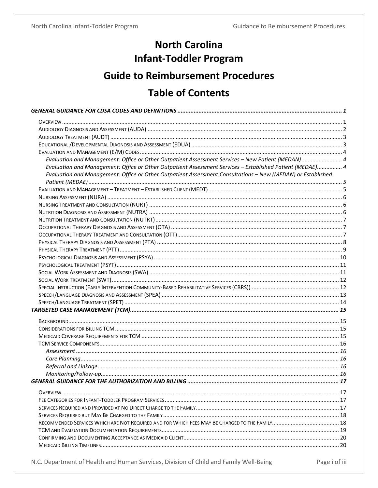## **North Carolina Infant-Toddler Program**

## **Guide to Reimbursement Procedures**

## **Table of Contents**

| Evaluation and Management: Office or Other Outpatient Assessment Services - New Patient (MEDAN) 4           |  |
|-------------------------------------------------------------------------------------------------------------|--|
| Evaluation and Management: Office or Other Outpatient Assessment Services - Established Patient (MEDAE) 4   |  |
| Evaluation and Management: Office or Other Outpatient Assessment Consultations - New (MEDAN) or Established |  |
|                                                                                                             |  |
|                                                                                                             |  |
|                                                                                                             |  |
|                                                                                                             |  |
|                                                                                                             |  |
|                                                                                                             |  |
|                                                                                                             |  |
|                                                                                                             |  |
|                                                                                                             |  |
|                                                                                                             |  |
|                                                                                                             |  |
|                                                                                                             |  |
|                                                                                                             |  |
|                                                                                                             |  |
|                                                                                                             |  |
|                                                                                                             |  |
|                                                                                                             |  |
|                                                                                                             |  |
|                                                                                                             |  |
|                                                                                                             |  |
|                                                                                                             |  |
|                                                                                                             |  |
|                                                                                                             |  |
|                                                                                                             |  |
|                                                                                                             |  |
|                                                                                                             |  |
|                                                                                                             |  |
|                                                                                                             |  |
|                                                                                                             |  |
|                                                                                                             |  |
|                                                                                                             |  |
|                                                                                                             |  |
|                                                                                                             |  |
|                                                                                                             |  |
|                                                                                                             |  |

N.C. Department of Health and Human Services, Division of Child and Family Well-Being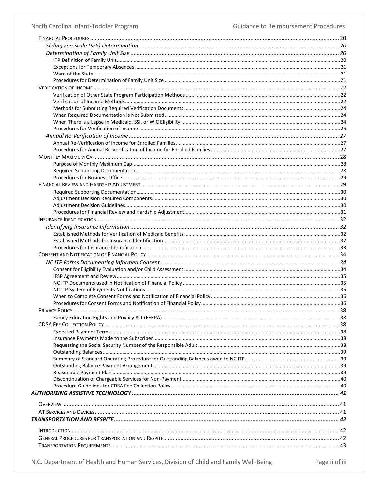### North Carolina Infant-Toddler Program

Guidance to Reimbursement Procedures

N.C. Department of Health and Human Services, Division of Child and Family Well-Being

Page ii of iii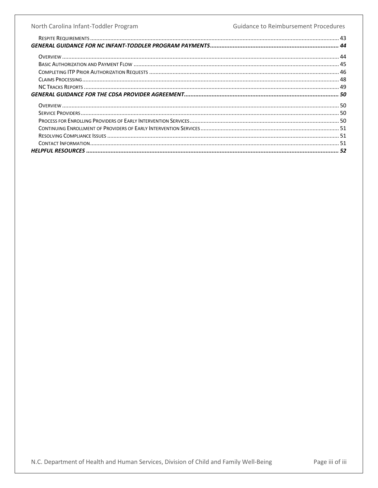#### North Carolina Infant-Toddler Program **Guidance to Reimbursement Procedures**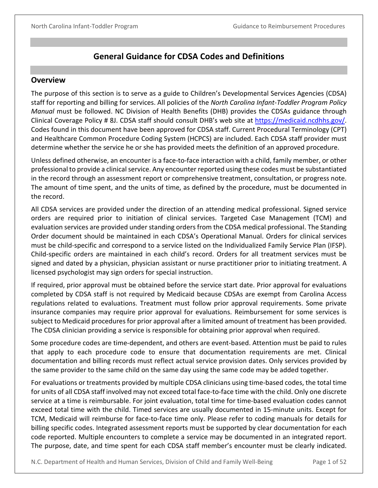## **General Guidance for CDSA Codes and Definitions**

#### <span id="page-4-1"></span><span id="page-4-0"></span>**Overview**

The purpose of this section is to serve as a guide to Children's Developmental Services Agencies (CDSA) staff for reporting and billing for services. All policies of the *North Carolina Infant-Toddler Program Policy Manual* must be followed. NC Division of Health Benefits (DHB) provides the CDSAs guidance through Clinical Coverage Policy # 8J. CDSA staff should consult DHB's web site at https://medicaid.ncdhhs.gov/. Codes found in this document have been approved for CDSA staff. Current Procedural Terminology (CPT) and Healthcare Common Procedure Coding System (HCPCS) are included. Each CDSA staff provider must determine whether the service he or she has provided meets the definition of an approved procedure.

Unless defined otherwise, an encounter is a face-to-face interaction with a child, family member, or other professional to provide a clinical service. Any encounter reported using these codes must be substantiated in the record through an assessment report or comprehensive treatment, consultation, or progress note. The amount of time spent, and the units of time, as defined by the procedure, must be documented in the record.

All CDSA services are provided under the direction of an attending medical professional. Signed service orders are required prior to initiation of clinical services. Targeted Case Management (TCM) and evaluation services are provided under standing orders from the CDSA medical professional. The Standing Order document should be maintained in each CDSA's Operational Manual. Orders for clinical services must be child-specific and correspond to a service listed on the Individualized Family Service Plan (IFSP). Child-specific orders are maintained in each child's record. Orders for all treatment services must be signed and dated by a physician, physician assistant or nurse practitioner prior to initiating treatment. A licensed psychologist may sign orders for special instruction.

If required, prior approval must be obtained before the service start date. Prior approval for evaluations completed by CDSA staff is not required by Medicaid because CDSAs are exempt from Carolina Access regulations related to evaluations. Treatment must follow prior approval requirements. Some private insurance companies may require prior approval for evaluations. Reimbursement for some services is subject to Medicaid procedures for prior approval after a limited amount of treatment has been provided. The CDSA clinician providing a service is responsible for obtaining prior approval when required.

Some procedure codes are time-dependent, and others are event-based. Attention must be paid to rules that apply to each procedure code to ensure that documentation requirements are met. Clinical documentation and billing records must reflect actual service provision dates. Only services provided by the same provider to the same child on the same day using the same code may be added together.

For evaluations or treatments provided by multiple CDSA clinicians using time-based codes, the total time for units of all CDSA staff involved may not exceed total face-to-face time with the child. Only one discrete service at a time is reimbursable. For joint evaluation, total time for time-based evaluation codes cannot exceed total time with the child. Timed services are usually documented in 15-minute units. Except for TCM, Medicaid will reimburse for face-to-face time only. Please refer to coding manuals for details for billing specific codes. Integrated assessment reports must be supported by clear documentation for each code reported. Multiple encounters to complete a service may be documented in an integrated report. The purpose, date, and time spent for each CDSA staff member's encounter must be clearly indicated.

N.C. Department of Health and Human Services, Division of Child and Family Well-Being Page 1 of 52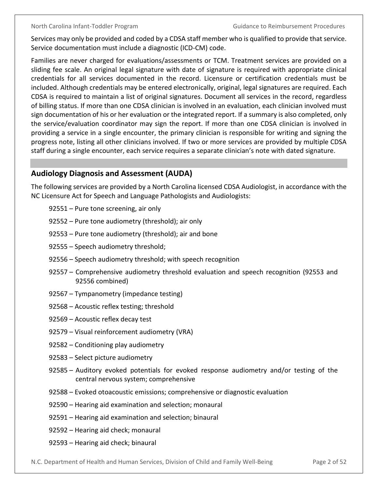Services may only be provided and coded by a CDSA staff member who is qualified to provide that service. Service documentation must include a diagnostic (ICD-CM) code.

Families are never charged for evaluations/assessments or TCM. Treatment services are provided on a sliding fee scale. An original legal signature with date of signature is required with appropriate clinical credentials for all services documented in the record. Licensure or certification credentials must be included. Although credentials may be entered electronically, original, legal signatures are required. Each CDSA is required to maintain a list of original signatures. Document all services in the record, regardless of billing status. If more than one CDSA clinician is involved in an evaluation, each clinician involved must sign documentation of his or her evaluation or the integrated report. If a summary is also completed, only the service/evaluation coordinator may sign the report. If more than one CDSA clinician is involved in providing a service in a single encounter, the primary clinician is responsible for writing and signing the progress note, listing all other clinicians involved. If two or more services are provided by multiple CDSA staff during a single encounter, each service requires a separate clinician's note with dated signature.

## <span id="page-5-0"></span>**Audiology Diagnosis and Assessment (AUDA)**

The following services are provided by a North Carolina licensed CDSA Audiologist, in accordance with the NC Licensure Act for Speech and Language Pathologists and Audiologists:

- 92551 Pure tone screening, air only
- 92552 Pure tone audiometry (threshold); air only
- 92553 Pure tone audiometry (threshold); air and bone
- 92555 Speech audiometry threshold;
- 92556 Speech audiometry threshold; with speech recognition
- 92557 Comprehensive audiometry threshold evaluation and speech recognition (92553 and 92556 combined)
- 92567 Tympanometry (impedance testing)
- 92568 Acoustic reflex testing; threshold
- 92569 Acoustic reflex decay test
- 92579 Visual reinforcement audiometry (VRA)
- 92582 Conditioning play audiometry
- 92583 Select picture audiometry
- 92585 Auditory evoked potentials for evoked response audiometry and/or testing of the central nervous system; comprehensive
- 92588 Evoked otoacoustic emissions; comprehensive or diagnostic evaluation
- 92590 Hearing aid examination and selection; monaural
- 92591 Hearing aid examination and selection; binaural
- 92592 Hearing aid check; monaural
- 92593 Hearing aid check; binaural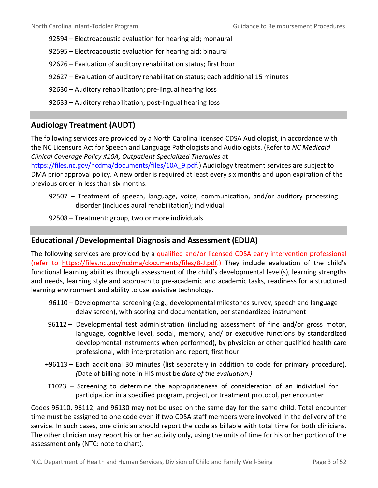- 92594 Electroacoustic evaluation for hearing aid; monaural
- 92595 Electroacoustic evaluation for hearing aid; binaural
- 92626 Evaluation of auditory rehabilitation status; first hour
- 92627 Evaluation of auditory rehabilitation status; each additional 15 minutes
- 92630 Auditory rehabilitation; pre-lingual hearing loss
- 92633 Auditory rehabilitation; post-lingual hearing loss

## <span id="page-6-0"></span>**Audiology Treatment (AUDT)**

The following services are provided by a North Carolina licensed CDSA Audiologist, in accordance with the NC Licensure Act for Speech and Language Pathologists and Audiologists. (Refer to *NC Medicaid Clinical Coverage Policy #10A, Outpatient Specialized Therapies* at

https://files.nc.gov/ncdma/documents/files/10A\_9.pdf.) Audiology treatment services are subject to DMA prior approval policy. A new order is required at least every six months and upon expiration of the previous order in less than six months.

- 92507 Treatment of speech, language, voice, communication, and/or auditory processing disorder (includes aural rehabilitation); individual
- 92508 Treatment: group, two or more individuals

### <span id="page-6-1"></span>**Educational /Developmental Diagnosis and Assessment (EDUA)**

The following services are provided by a qualified and/or licensed CDSA early intervention professional (refer to [https://files.nc.gov/ncdma/documents/files/8-J.pdf.](https://files.nc.gov/ncdma/documents/files/8-J.pdf)) They include evaluation of the child's functional learning abilities through assessment of the child's developmental level(s), learning strengths and needs, learning style and approach to pre-academic and academic tasks, readiness for a structured learning environment and ability to use assistive technology.

- 96110 Developmental screening (e.g., developmental milestones survey, speech and language delay screen), with scoring and documentation, per standardized instrument
- 96112 Developmental test administration (including assessment of fine and/or gross motor, language, cognitive level, social, memory, and/ or executive functions by standardized developmental instruments when performed), by physician or other qualified health care professional, with interpretation and report; first hour
- +96113 Each additional 30 minutes (list separately in addition to code for primary procedure). *(*Date of billing note in HIS must be *date of the evaluation.)*
- T1023 Screening to determine the appropriateness of consideration of an individual for participation in a specified program, project, or treatment protocol, per encounter

Codes 96110, 96112, and 96130 may not be used on the same day for the same child. Total encounter time must be assigned to one code even if two CDSA staff members were involved in the delivery of the service. In such cases, one clinician should report the code as billable with total time for both clinicians. The other clinician may report his or her activity only, using the units of time for his or her portion of the assessment only (NTC: note to chart).

N.C. Department of Health and Human Services, Division of Child and Family Well-Being Page 3 of 52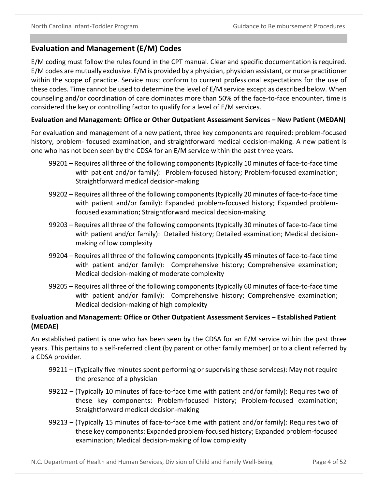## <span id="page-7-0"></span>**Evaluation and Management (E/M) Codes**

E/M coding must follow the rules found in the CPT manual. Clear and specific documentation is required. E/M codes are mutually exclusive. E/M is provided by a physician, physician assistant, or nurse practitioner within the scope of practice. Service must conform to current professional expectations for the use of these codes. Time cannot be used to determine the level of E/M service except as described below. When counseling and/or coordination of care dominates more than 50% of the face-to-face encounter, time is considered the key or controlling factor to qualify for a level of E/M services.

### <span id="page-7-1"></span>**Evaluation and Management: Office or Other Outpatient Assessment Services – New Patient (MEDAN)**

For evaluation and management of a new patient, three key components are required: problem-focused history, problem- focused examination, and straightforward medical decision-making. A new patient is one who has not been seen by the CDSA for an E/M service within the past three years.

- 99201 Requires all three of the following components (typically 10 minutes of face-to-face time with patient and/or family): Problem-focused history; Problem-focused examination; Straightforward medical decision-making
- 99202 Requires all three of the following components (typically 20 minutes of face-to-face time with patient and/or family): Expanded problem-focused history; Expanded problemfocused examination; Straightforward medical decision-making
- 99203 Requires all three of the following components (typically 30 minutes of face-to-face time with patient and/or family): Detailed history; Detailed examination; Medical decisionmaking of low complexity
- 99204 Requires all three of the following components (typically 45 minutes of face-to-face time with patient and/or family): Comprehensive history; Comprehensive examination; Medical decision-making of moderate complexity
- 99205 Requires all three of the following components (typically 60 minutes of face-to-face time with patient and/or family): Comprehensive history; Comprehensive examination; Medical decision-making of high complexity

### <span id="page-7-2"></span>**Evaluation and Management: Office or Other Outpatient Assessment Services – Established Patient (MEDAE)**

An established patient is one who has been seen by the CDSA for an E/M service within the past three years. This pertains to a self-referred client (by parent or other family member) or to a client referred by a CDSA provider.

- 99211 (Typically five minutes spent performing or supervising these services): May not require the presence of a physician
- 99212 (Typically 10 minutes of face-to-face time with patient and/or family): Requires two of these key components: Problem-focused history; Problem-focused examination; Straightforward medical decision-making
- 99213 (Typically 15 minutes of face-to-face time with patient and/or family): Requires two of these key components: Expanded problem-focused history; Expanded problem-focused examination; Medical decision-making of low complexity

N.C. Department of Health and Human Services, Division of Child and Family Well-Being Page 4 of 52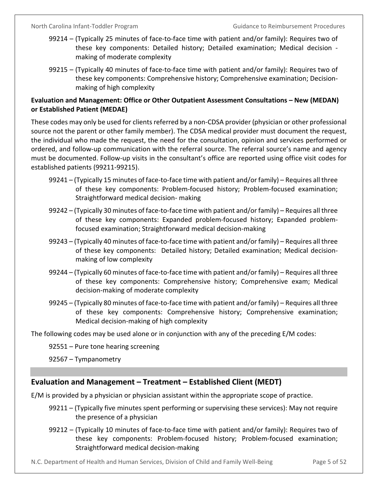- 99214 (Typically 25 minutes of face-to-face time with patient and/or family): Requires two of these key components: Detailed history; Detailed examination; Medical decision making of moderate complexity
- 99215 (Typically 40 minutes of face-to-face time with patient and/or family): Requires two of these key components: Comprehensive history; Comprehensive examination; Decisionmaking of high complexity

## <span id="page-8-0"></span>**Evaluation and Management: Office or Other Outpatient Assessment Consultations – New (MEDAN) or Established Patient (MEDAE)**

These codes may only be used for clients referred by a non-CDSA provider (physician or other professional source not the parent or other family member). The CDSA medical provider must document the request, the individual who made the request, the need for the consultation, opinion and services performed or ordered, and follow-up communication with the referral source. The referral source's name and agency must be documented. Follow-up visits in the consultant's office are reported using office visit codes for established patients (99211-99215).

- 99241 (Typically 15 minutes of face-to-face time with patient and/or family) Requires all three of these key components: Problem-focused history; Problem-focused examination; Straightforward medical decision- making
- 99242 (Typically 30 minutes of face-to-face time with patient and/or family) Requires all three of these key components: Expanded problem-focused history; Expanded problemfocused examination; Straightforward medical decision-making
- 99243 (Typically 40 minutes of face-to-face time with patient and/or family) Requires all three of these key components: Detailed history; Detailed examination; Medical decisionmaking of low complexity
- 99244 (Typically 60 minutes of face-to-face time with patient and/or family) Requires all three of these key components: Comprehensive history; Comprehensive exam; Medical decision-making of moderate complexity
- 99245 (Typically 80 minutes of face-to-face time with patient and/or family) Requires all three of these key components: Comprehensive history; Comprehensive examination; Medical decision-making of high complexity

The following codes may be used alone or in conjunction with any of the preceding E/M codes:

92551 – Pure tone hearing screening

92567 – Tympanometry

## <span id="page-8-1"></span>**Evaluation and Management – Treatment – Established Client (MEDT)**

E/M is provided by a physician or physician assistant within the appropriate scope of practice.

- 99211 (Typically five minutes spent performing or supervising these services): May not require the presence of a physician
- 99212 (Typically 10 minutes of face-to-face time with patient and/or family): Requires two of these key components: Problem-focused history; Problem-focused examination; Straightforward medical decision-making

N.C. Department of Health and Human Services, Division of Child and Family Well-Being Page 5 of 52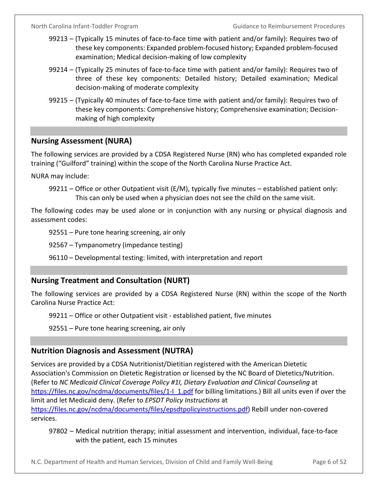- 99213 (Typically 15 minutes of face-to-face time with patient and/or family): Requires two of these key components: Expanded problem-focused history; Expanded problem-focused examination; Medical decision-making of low complexity
- 99214 (Typically 25 minutes of face-to-face time with patient and/or family): Requires two of three of these key components: Detailed history; Detailed examination; Medical decision-making of moderate complexity
- 99215 (Typically 40 minutes of face-to-face time with patient and/or family): Requires two of these key components: Comprehensive history; Comprehensive examination; Decisionmaking of high complexity

## <span id="page-9-0"></span>**Nursing Assessment (NURA)**

The following services are provided by a CDSA Registered Nurse (RN) who has completed expanded role training ("Guilford" training) within the scope of the North Carolina Nurse Practice Act.

NURA may include:

The following codes may be used alone or in conjunction with any nursing or physical diagnosis and assessment codes:

92551 – Pure tone hearing screening, air only

92567 – Tympanometry (impedance testing)

96110 – Developmental testing: limited, with interpretation and report

## <span id="page-9-1"></span>**Nursing Treatment and Consultation (NURT)**

The following services are provided by a CDSA Registered Nurse (RN) within the scope of the North Carolina Nurse Practice Act:

99211 – Office or other Outpatient visit - established patient, five minutes

92551 – Pure tone hearing screening, air only

## <span id="page-9-2"></span>**Nutrition Diagnosis and Assessment (NUTRA)**

Services are provided by a CDSA Nutritionist/Dietitian registered with the American Dietetic Association's Commission on Dietetic Registration or licensed by the NC Board of Dietetics/Nutrition. (Refer to *NC Medicaid Clinical Coverage Policy #1I, Dietary Evaluation and Clinical Counseling* at https://files.nc.gov/ncdma/documents/files/1-1\_1.pdf for billing limitations.) Bill all units even if over the limit and let Medicaid deny. (Refer to *EPSDT Policy Instructions* at [https://files.nc.gov/ncdma/documents/files/epsdtpolicyinstructions.pdf\)](https://files.nc.gov/ncdma/documents/files/epsdtpolicyinstructions.pdf) Rebill under non-covered services.

97802 – Medical nutrition therapy; initial assessment and intervention, individual, face-to-face with the patient, each 15 minutes

N.C. Department of Health and Human Services, Division of Child and Family Well-Being Page 6 of 52

<sup>99211 –</sup> Office or other Outpatient visit ( $E/M$ ), typically five minutes – established patient only: This can only be used when a physician does not see the child on the same visit.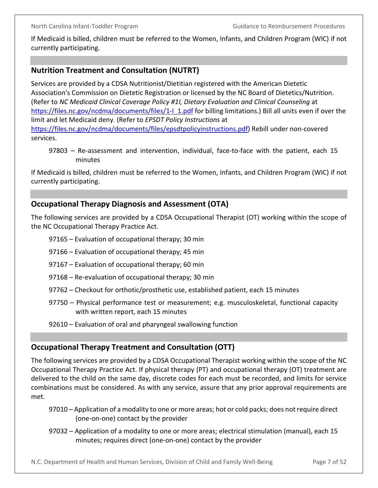If Medicaid is billed, children must be referred to the Women, Infants, and Children Program (WIC) if not currently participating.

## <span id="page-10-0"></span>**Nutrition Treatment and Consultation (NUTRT)**

Services are provided by a CDSA Nutritionist/Dietitian registered with the American Dietetic Association's Commission on Dietetic Registration or licensed by the NC Board of Dietetics/Nutrition. (Refer to *NC Medicaid Clinical Coverage Policy #1I, Dietary Evaluation and Clinical Counseling* at https://files.nc.gov/ncdma/documents/files/1-I\_1.pdf for billing limitations.) Bill all units even if over the limit and let Medicaid deny. (Refer to *EPSDT Policy Instructions* at [https://files.nc.gov/ncdma/documents/files/epsdtpolicyinstructions.pdf\)](https://files.nc.gov/ncdma/documents/files/epsdtpolicyinstructions.pdf) Rebill under non-covered services.

97803 – Re-assessment and intervention, individual, face-to-face with the patient, each 15 minutes

If Medicaid is billed, children must be referred to the Women, Infants, and Children Program (WIC) if not currently participating.

## <span id="page-10-1"></span>**Occupational Therapy Diagnosis and Assessment (OTA)**

The following services are provided by a CDSA Occupational Therapist (OT) working within the scope of the NC Occupational Therapy Practice Act.

- 97165 Evaluation of occupational therapy; 30 min
- 97166 Evaluation of occupational therapy; 45 min
- 97167 Evaluation of occupational therapy; 60 min
- 97168 Re-evaluation of occupational therapy; 30 min
- 97762 Checkout for orthotic/prosthetic use, established patient, each 15 minutes
- 97750 Physical performance test or measurement; e.g. musculoskeletal, functional capacity with written report, each 15 minutes
- 92610 Evaluation of oral and pharyngeal swallowing function

## <span id="page-10-2"></span>**Occupational Therapy Treatment and Consultation (OTT)**

The following services are provided by a CDSA Occupational Therapist working within the scope of the NC Occupational Therapy Practice Act. If physical therapy (PT) and occupational therapy (OT) treatment are delivered to the child on the same day, discrete codes for each must be recorded, and limits for service combinations must be considered. As with any service, assure that any prior approval requirements are met.

- 97010 Application of a modality to one or more areas; hot or cold packs; does not require direct (one-on-one) contact by the provider
- 97032 Application of a modality to one or more areas; electrical stimulation (manual), each 15 minutes; requires direct (one-on-one) contact by the provider

N.C. Department of Health and Human Services, Division of Child and Family Well-Being Page 7 of 52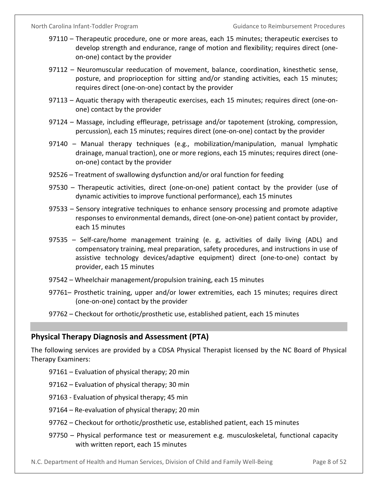- 97110 Therapeutic procedure, one or more areas, each 15 minutes; therapeutic exercises to develop strength and endurance, range of motion and flexibility; requires direct (oneon-one) contact by the provider
- 97112 Neuromuscular reeducation of movement, balance, coordination, kinesthetic sense, posture, and proprioception for sitting and/or standing activities, each 15 minutes; requires direct (one-on-one) contact by the provider
- 97113 Aquatic therapy with therapeutic exercises, each 15 minutes; requires direct (one-onone) contact by the provider
- 97124 Massage, including effleurage, petrissage and/or tapotement (stroking, compression, percussion), each 15 minutes; requires direct (one-on-one) contact by the provider
- 97140 Manual therapy techniques (e.g., mobilization/manipulation, manual lymphatic drainage, manual traction), one or more regions, each 15 minutes; requires direct (oneon-one) contact by the provider
- 92526 Treatment of swallowing dysfunction and/or oral function for feeding
- 97530 Therapeutic activities, direct (one-on-one) patient contact by the provider (use of dynamic activities to improve functional performance), each 15 minutes
- 97533 Sensory integrative techniques to enhance sensory processing and promote adaptive responses to environmental demands, direct (one-on-one) patient contact by provider, each 15 minutes
- 97535 Self-care/home management training (e. g, activities of daily living (ADL) and compensatory training, meal preparation, safety procedures, and instructions in use of assistive technology devices/adaptive equipment) direct (one-to-one) contact by provider, each 15 minutes
- 97542 Wheelchair management/propulsion training, each 15 minutes
- 97761– Prosthetic training, upper and/or lower extremities, each 15 minutes; requires direct (one-on-one) contact by the provider
- 97762 Checkout for orthotic/prosthetic use, established patient, each 15 minutes

## <span id="page-11-0"></span>**Physical Therapy Diagnosis and Assessment (PTA)**

The following services are provided by a CDSA Physical Therapist licensed by the NC Board of Physical Therapy Examiners:

- 97161 Evaluation of physical therapy; 20 min
- 97162 Evaluation of physical therapy; 30 min
- 97163 Evaluation of physical therapy; 45 min
- 97164 Re-evaluation of physical therapy; 20 min
- 97762 Checkout for orthotic/prosthetic use, established patient, each 15 minutes
- 97750 Physical performance test or measurement e.g. musculoskeletal, functional capacity with written report, each 15 minutes

N.C. Department of Health and Human Services, Division of Child and Family Well-Being Page 8 of 52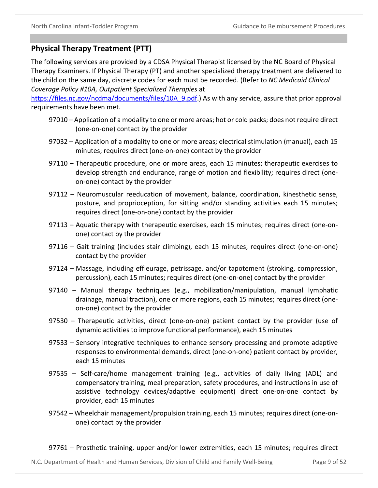## <span id="page-12-0"></span>**Physical Therapy Treatment (PTT)**

The following services are provided by a CDSA Physical Therapist licensed by the NC Board of Physical Therapy Examiners. If Physical Therapy (PT) and another specialized therapy treatment are delivered to the child on the same day, discrete codes for each must be recorded. (Refer to *NC Medicaid Clinical Coverage Policy #10A, Outpatient Specialized Therapies* at

https://files.nc.gov/ncdma/documents/files/10A\_9.pdf.) As with any service, assure that prior approval requirements have been met.

- 97010 Application of a modality to one or more areas; hot or cold packs; does not require direct (one-on-one) contact by the provider
- 97032 Application of a modality to one or more areas; electrical stimulation (manual), each 15 minutes; requires direct (one-on-one) contact by the provider
- 97110 Therapeutic procedure, one or more areas, each 15 minutes; therapeutic exercises to develop strength and endurance, range of motion and flexibility; requires direct (oneon-one) contact by the provider
- 97112 Neuromuscular reeducation of movement, balance, coordination, kinesthetic sense, posture, and proprioception, for sitting and/or standing activities each 15 minutes; requires direct (one-on-one) contact by the provider
- 97113 Aquatic therapy with therapeutic exercises, each 15 minutes; requires direct (one-onone) contact by the provider
- 97116 Gait training (includes stair climbing), each 15 minutes; requires direct (one-on-one) contact by the provider
- 97124 Massage, including effleurage, petrissage, and/or tapotement (stroking, compression, percussion), each 15 minutes; requires direct (one-on-one) contact by the provider
- 97140 Manual therapy techniques (e.g., mobilization/manipulation, manual lymphatic drainage, manual traction), one or more regions, each 15 minutes; requires direct (oneon-one) contact by the provider
- 97530 Therapeutic activities, direct (one-on-one) patient contact by the provider (use of dynamic activities to improve functional performance), each 15 minutes
- 97533 Sensory integrative techniques to enhance sensory processing and promote adaptive responses to environmental demands, direct (one-on-one) patient contact by provider, each 15 minutes
- 97535 Self-care/home management training (e.g., activities of daily living (ADL) and compensatory training, meal preparation, safety procedures, and instructions in use of assistive technology devices/adaptive equipment) direct one-on-one contact by provider, each 15 minutes
- 97542 Wheelchair management/propulsion training, each 15 minutes; requires direct (one-onone) contact by the provider
- 97761 Prosthetic training, upper and/or lower extremities, each 15 minutes; requires direct

N.C. Department of Health and Human Services, Division of Child and Family Well-Being Page 9 of 52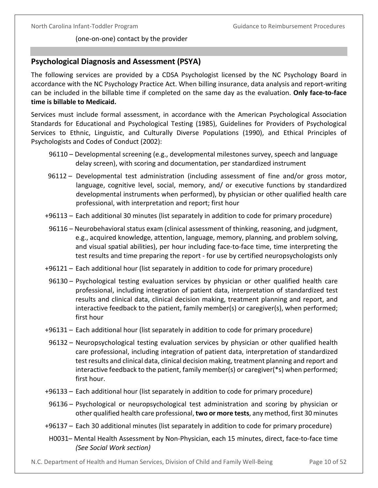(one-on-one) contact by the provider

## <span id="page-13-0"></span>**Psychological Diagnosis and Assessment (PSYA)**

The following services are provided by a CDSA Psychologist licensed by the NC Psychology Board in accordance with the NC Psychology Practice Act. When billing insurance, data analysis and report-writing can be included in the billable time if completed on the same day as the evaluation. **Only face-to-face time is billable to Medicaid.**

Services must include formal assessment, in accordance with the American Psychological Association Standards for Educational and Psychological Testing (1985), Guidelines for Providers of Psychological Services to Ethnic, Linguistic, and Culturally Diverse Populations (1990), and Ethical Principles of Psychologists and Codes of Conduct (2002):

- 96110 Developmental screening (e.g., developmental milestones survey, speech and language delay screen), with scoring and documentation, per standardized instrument
- 96112 Developmental test administration (including assessment of fine and/or gross motor, language, cognitive level, social, memory, and/ or executive functions by standardized developmental instruments when performed), by physician or other qualified health care professional, with interpretation and report; first hour
- +96113 Each additional 30 minutes (list separately in addition to code for primary procedure)
	- 96116 Neurobehavioral status exam (clinical assessment of thinking, reasoning, and judgment, e.g., acquired knowledge, attention, language, memory, planning, and problem solving, and visual spatial abilities), per hour including face-to-face time, time interpreting the test results and time preparing the report - for use by certified neuropsychologists only
- +96121 Each additional hour (list separately in addition to code for primary procedure)
	- 96130 Psychological testing evaluation services by physician or other qualified health care professional, including integration of patient data, interpretation of standardized test results and clinical data, clinical decision making, treatment planning and report, and interactive feedback to the patient, family member(s) or caregiver(s), when performed; first hour
- +96131 Each additional hour (list separately in addition to code for primary procedure)
	- 96132 Neuropsychological testing evaluation services by physician or other qualified health care professional, including integration of patient data, interpretation of standardized test results and clinical data, clinical decision making, treatment planning and report and interactive feedback to the patient, family member(s) or caregiver(\*s) when performed; first hour.
- +96133 Each additional hour (list separately in addition to code for primary procedure)
- 96136 Psychological or neuropsychological test administration and scoring by physician or other qualified health care professional, **two or more tests**, any method, first 30 minutes
- +96137 Each 30 additional minutes (list separately in addition to code for primary procedure)
- H0031– Mental Health Assessment by Non-Physician, each 15 minutes, direct, face-to-face time *(See Social Work section)*
- N.C. Department of Health and Human Services, Division of Child and Family Well-Being Page 10 of 52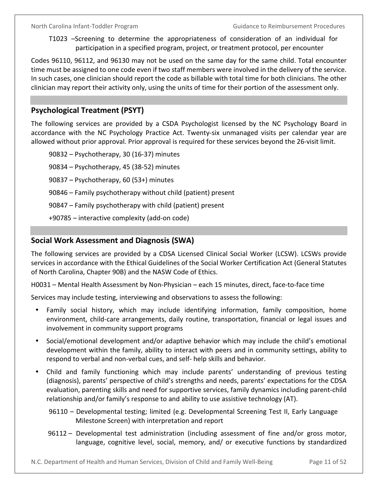T1023 –Screening to determine the appropriateness of consideration of an individual for participation in a specified program, project, or treatment protocol, per encounter

Codes 96110, 96112, and 96130 may not be used on the same day for the same child. Total encounter time must be assigned to one code even if two staff members were involved in the delivery of the service. In such cases, one clinician should report the code as billable with total time for both clinicians. The other clinician may report their activity only, using the units of time for their portion of the assessment only.

## <span id="page-14-0"></span>**Psychological Treatment (PSYT)**

The following services are provided by a CSDA Psychologist licensed by the NC Psychology Board in accordance with the NC Psychology Practice Act. Twenty-six unmanaged visits per calendar year are allowed without prior approval. Prior approval is required for these services beyond the 26-visit limit.

90832 – Psychotherapy, 30 (16-37) minutes 90834 – Psychotherapy, 45 (38-52) minutes 90837 – Psychotherapy, 60 (53+) minutes 90846 – Family psychotherapy without child (patient) present 90847 – Family psychotherapy with child (patient) present +90785 – interactive complexity (add-on code)

## <span id="page-14-1"></span>**Social Work Assessment and Diagnosis (SWA)**

The following services are provided by a CDSA Licensed Clinical Social Worker (LCSW). LCSWs provide services in accordance with the Ethical Guidelines of the Social Worker Certification Act (General Statutes of North Carolina, Chapter 90B) and the NASW Code of Ethics.

H0031 – Mental Health Assessment by Non-Physician – each 15 minutes, direct, face-to-face time

Services may include testing, interviewing and observations to assess the following:

- Family social history, which may include identifying information, family composition, home environment, child-care arrangements, daily routine, transportation, financial or legal issues and involvement in community support programs
- Social/emotional development and/or adaptive behavior which may include the child's emotional development within the family, ability to interact with peers and in community settings, ability to respond to verbal and non-verbal cues, and self- help skills and behavior.
- Child and family functioning which may include parents' understanding of previous testing (diagnosis), parents' perspective of child's strengths and needs, parents' expectations for the CDSA evaluation, parenting skills and need for supportive services, family dynamics including parent-child relationship and/or family's response to and ability to use assistive technology (AT).
	- 96110 Developmental testing; limited (e.g. Developmental Screening Test II, Early Language Milestone Screen) with interpretation and report
	- 96112 Developmental test administration (including assessment of fine and/or gross motor, language, cognitive level, social, memory, and/ or executive functions by standardized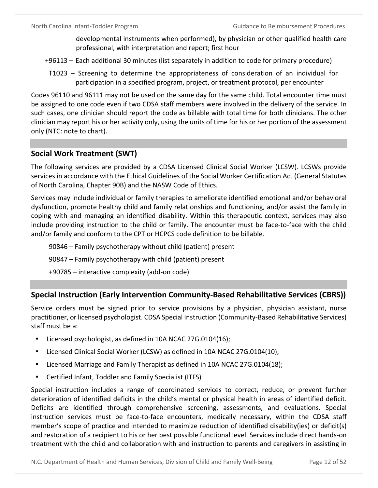developmental instruments when performed), by physician or other qualified health care professional, with interpretation and report; first hour

- +96113 Each additional 30 minutes (list separately in addition to code for primary procedure)
- T1023 Screening to determine the appropriateness of consideration of an individual for participation in a specified program, project, or treatment protocol, per encounter

Codes 96110 and 96111 may not be used on the same day for the same child. Total encounter time must be assigned to one code even if two CDSA staff members were involved in the delivery of the service. In such cases, one clinician should report the code as billable with total time for both clinicians. The other clinician may report his or her activity only, using the units of time for his or her portion of the assessment only (NTC: note to chart).

## <span id="page-15-0"></span>**Social Work Treatment (SWT)**

The following services are provided by a CDSA Licensed Clinical Social Worker (LCSW). LCSWs provide services in accordance with the Ethical Guidelines of the Social Worker Certification Act (General Statutes of North Carolina, Chapter 90B) and the NASW Code of Ethics.

Services may include individual or family therapies to ameliorate identified emotional and/or behavioral dysfunction, promote healthy child and family relationships and functioning, and/or assist the family in coping with and managing an identified disability. Within this therapeutic context, services may also include providing instruction to the child or family. The encounter must be face-to-face with the child and/or family and conform to the CPT or HCPCS code definition to be billable.

90846 – Family psychotherapy without child (patient) present

90847 – Family psychotherapy with child (patient) present

+90785 – interactive complexity (add-on code)

## <span id="page-15-1"></span>**Special Instruction (Early Intervention Community-Based Rehabilitative Services (CBRS))**

Service orders must be signed prior to service provisions by a physician, physician assistant, nurse practitioner, or licensed psychologist. CDSA Special Instruction (Community-Based Rehabilitative Services) staff must be a:

- Licensed psychologist, as defined in 10A NCAC 27G.0104(16);
- Licensed Clinical Social Worker (LCSW) as defined in 10A NCAC 27G.0104(10);
- Licensed Marriage and Family Therapist as defined in 10A NCAC 27G.0104(18);
- Certified Infant, Toddler and Family Specialist (ITFS)

Special instruction includes a range of coordinated services to correct, reduce, or prevent further deterioration of identified deficits in the child's mental or physical health in areas of identified deficit. Deficits are identified through comprehensive screening, assessments, and evaluations. Special instruction services must be face-to-face encounters, medically necessary, within the CDSA staff member's scope of practice and intended to maximize reduction of identified disability(ies) or deficit(s) and restoration of a recipient to his or her best possible functional level. Services include direct hands-on treatment with the child and collaboration with and instruction to parents and caregivers in assisting in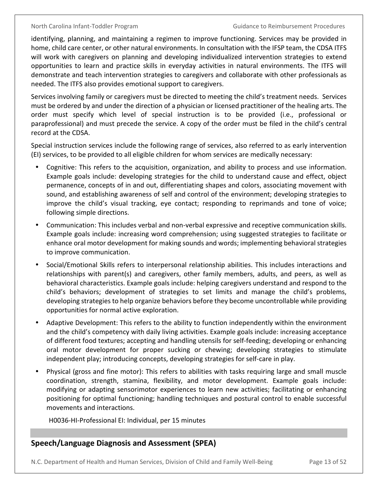identifying, planning, and maintaining a regimen to improve functioning. Services may be provided in home, child care center, or other natural environments. In consultation with the IFSP team, the CDSA ITFS will work with caregivers on planning and developing individualized intervention strategies to extend opportunities to learn and practice skills in everyday activities in natural environments. The ITFS will demonstrate and teach intervention strategies to caregivers and collaborate with other professionals as needed. The ITFS also provides emotional support to caregivers.

Services involving family or caregivers must be directed to meeting the child's treatment needs. Services must be ordered by and under the direction of a physician or licensed practitioner of the healing arts. The order must specify which level of special instruction is to be provided (i.e., professional or paraprofessional) and must precede the service. A copy of the order must be filed in the child's central record at the CDSA.

Special instruction services include the following range of services, also referred to as early intervention (EI) services, to be provided to all eligible children for whom services are medically necessary:

- Cognitive: This refers to the acquisition, organization, and ability to process and use information. Example goals include: developing strategies for the child to understand cause and effect, object permanence, concepts of in and out, differentiating shapes and colors, associating movement with sound, and establishing awareness of self and control of the environment; developing strategies to improve the child's visual tracking, eye contact; responding to reprimands and tone of voice; following simple directions.
- Communication: This includes verbal and non-verbal expressive and receptive communication skills. Example goals include: increasing word comprehension; using suggested strategies to facilitate or enhance oral motor development for making sounds and words; implementing behavioral strategies to improve communication.
- Social/Emotional Skills refers to interpersonal relationship abilities. This includes interactions and relationships with parent(s) and caregivers, other family members, adults, and peers, as well as behavioral characteristics. Example goals include: helping caregivers understand and respond to the child's behaviors; development of strategies to set limits and manage the child's problems, developing strategies to help organize behaviors before they become uncontrollable while providing opportunities for normal active exploration.
- Adaptive Development: This refers to the ability to function independently within the environment and the child's competency with daily living activities. Example goals include: increasing acceptance of different food textures; accepting and handling utensils for self-feeding; developing or enhancing oral motor development for proper sucking or chewing; developing strategies to stimulate independent play; introducing concepts, developing strategies for self-care in play.
- Physical (gross and fine motor): This refers to abilities with tasks requiring large and small muscle coordination, strength, stamina, flexibility, and motor development. Example goals include: modifying or adapting sensorimotor experiences to learn new activities; facilitating or enhancing positioning for optimal functioning; handling techniques and postural control to enable successful movements and interactions.

H0036-HI-Professional EI: Individual, per 15 minutes

## <span id="page-16-0"></span>**Speech/Language Diagnosis and Assessment (SPEA)**

N.C. Department of Health and Human Services, Division of Child and Family Well-Being Page 13 of 52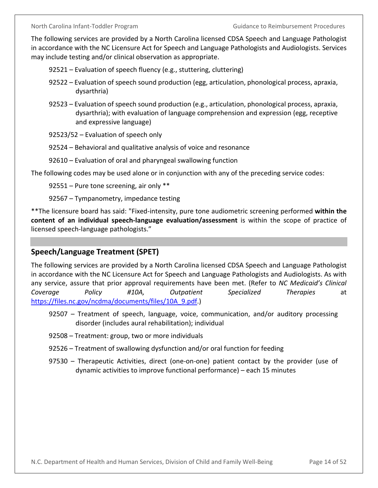The following services are provided by a North Carolina licensed CDSA Speech and Language Pathologist in accordance with the NC Licensure Act for Speech and Language Pathologists and Audiologists. Services may include testing and/or clinical observation as appropriate.

92521 – Evaluation of speech fluency (e.g., stuttering, cluttering)

- 92522 Evaluation of speech sound production (egg, articulation, phonological process, apraxia, dysarthria)
- 92523 Evaluation of speech sound production (e.g., articulation, phonological process, apraxia, dysarthria); with evaluation of language comprehension and expression (egg, receptive and expressive language)
- 92523/52 Evaluation of speech only
- 92524 Behavioral and qualitative analysis of voice and resonance
- 92610 Evaluation of oral and pharyngeal swallowing function

The following codes may be used alone or in conjunction with any of the preceding service codes:

92551 – Pure tone screening, air only \*\*

92567 – Tympanometry, impedance testing

\*\*The licensure board has said: "Fixed-intensity, pure tone audiometric screening performed **within the content of an individual speech-language evaluation/assessment** is within the scope of practice of licensed speech-language pathologists."

## <span id="page-17-0"></span>**Speech/Language Treatment (SPET)**

The following services are provided by a North Carolina licensed CDSA Speech and Language Pathologist in accordance with the NC Licensure Act for Speech and Language Pathologists and Audiologists. As with any service, assure that prior approval requirements have been met. (Refer to *NC Medicaid's Clinical Coverage Policy #10A, Outpatient Specialized Therapies* at https://files.nc.gov/ncdma/documents/files/10A\_9.pdf.)

- 92507 Treatment of speech, language, voice, communication, and/or auditory processing disorder (includes aural rehabilitation); individual
- 92508 Treatment: group, two or more individuals
- 92526 Treatment of swallowing dysfunction and/or oral function for feeding
- 97530 Therapeutic Activities, direct (one-on-one) patient contact by the provider (use of dynamic activities to improve functional performance) – each 15 minutes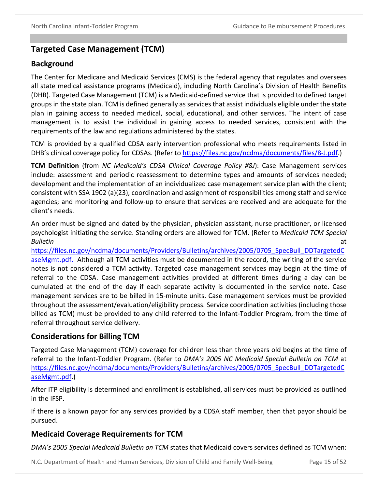## <span id="page-18-0"></span>**Targeted Case Management (TCM)**

## <span id="page-18-1"></span>**Background**

The Center for Medicare and Medicaid Services (CMS) is the federal agency that regulates and oversees all state medical assistance programs (Medicaid), including North Carolina's Division of Health Benefits (DHB). Targeted Case Management (TCM) is a Medicaid-defined service that is provided to defined target groups in the state plan. TCM is defined generally as services that assist individuals eligible under the state plan in gaining access to needed medical, social, educational, and other services. The intent of case management is to assist the individual in gaining access to needed services, consistent with the requirements of the law and regulations administered by the states.

TCM is provided by a qualified CDSA early intervention professional who meets requirements listed in DHB's clinical coverage policy for CDSAs. (Refer to https://files.nc.gov/ncdma/documents/files/8-J.pdf.)

**TCM Definition** (from *NC Medicaid's CDSA Clinical Coverage Policy #8J*): Case Management services include: assessment and periodic reassessment to determine types and amounts of services needed; development and the implementation of an individualized case management service plan with the client; consistent with SSA 1902 (a)(23), coordination and assignment of responsibilities among staff and service agencies; and monitoring and follow-up to ensure that services are received and are adequate for the client's needs.

An order must be signed and dated by the physician, physician assistant, nurse practitioner, or licensed psychologist initiating the service. Standing orders are allowed for TCM. (Refer to *Medicaid TCM Special Bulletin* at

[https://files.nc.gov/ncdma/documents/Providers/Bulletins/archives/2005/0705\\_SpecBull\\_DDTargetedC](https://files.nc.gov/ncdma/documents/Providers/Bulletins/archives/2005/0705_SpecBull_DDTargetedCaseMgmt.pdf) [aseMgmt.pdf.](https://files.nc.gov/ncdma/documents/Providers/Bulletins/archives/2005/0705_SpecBull_DDTargetedCaseMgmt.pdf) Although all TCM activities must be documented in the record, the writing of the service notes is not considered a TCM activity. Targeted case management services may begin at the time of referral to the CDSA. Case management activities provided at different times during a day can be cumulated at the end of the day if each separate activity is documented in the service note. Case management services are to be billed in 15-minute units. Case management services must be provided throughout the assessment/evaluation/eligibility process. Service coordination activities (including those billed as TCM) must be provided to any child referred to the Infant-Toddler Program, from the time of referral throughout service delivery.

## <span id="page-18-2"></span>**Considerations for Billing TCM**

Targeted Case Management (TCM) coverage for children less than three years old begins at the time of referral to the Infant-Toddler Program. (Refer to *DMA's 2005 NC Medicaid Special Bulletin on TCM* at [https://files.nc.gov/ncdma/documents/Providers/Bulletins/archives/2005/0705\\_SpecBull\\_DDTargetedC](https://files.nc.gov/ncdma/documents/Providers/Bulletins/archives/2005/0705_SpecBull_DDTargetedCaseMgmt.pdf) [aseMgmt.pdf.](https://files.nc.gov/ncdma/documents/Providers/Bulletins/archives/2005/0705_SpecBull_DDTargetedCaseMgmt.pdf))

After ITP eligibility is determined and enrollment is established, all services must be provided as outlined in the IFSP.

If there is a known payor for any services provided by a CDSA staff member, then that payor should be pursued.

## <span id="page-18-3"></span>**Medicaid Coverage Requirements for TCM**

*DMA's 2005 Special Medicaid Bulletin on TCM* states that Medicaid covers services defined as TCM when:

N.C. Department of Health and Human Services, Division of Child and Family Well-Being Page 15 of 52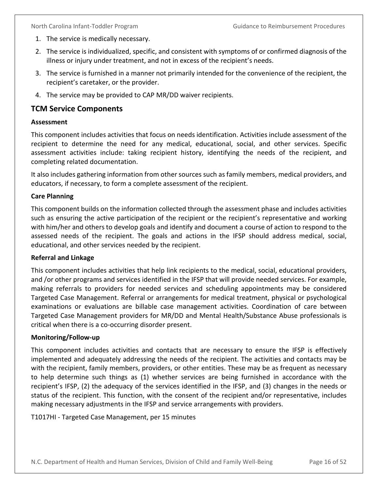- 1. The service is medically necessary.
- 2. The service is individualized, specific, and consistent with symptoms of or confirmed diagnosis of the illness or injury under treatment, and not in excess of the recipient's needs.
- 3. The service is furnished in a manner not primarily intended for the convenience of the recipient, the recipient's caretaker, or the provider.
- 4. The service may be provided to CAP MR/DD waiver recipients.

### <span id="page-19-0"></span>**TCM Service Components**

#### <span id="page-19-1"></span>**Assessment**

This component includes activities that focus on needs identification. Activities include assessment of the recipient to determine the need for any medical, educational, social, and other services. Specific assessment activities include: taking recipient history, identifying the needs of the recipient, and completing related documentation.

It also includes gathering information from other sources such as family members, medical providers, and educators, if necessary, to form a complete assessment of the recipient.

#### <span id="page-19-2"></span>**Care Planning**

This component builds on the information collected through the assessment phase and includes activities such as ensuring the active participation of the recipient or the recipient's representative and working with him/her and others to develop goals and identify and document a course of action to respond to the assessed needs of the recipient. The goals and actions in the IFSP should address medical, social, educational, and other services needed by the recipient.

#### <span id="page-19-3"></span>**Referral and Linkage**

This component includes activities that help link recipients to the medical, social, educational providers, and /or other programs and services identified in the IFSP that will provide needed services. For example, making referrals to providers for needed services and scheduling appointments may be considered Targeted Case Management. Referral or arrangements for medical treatment, physical or psychological examinations or evaluations are billable case management activities. Coordination of care between Targeted Case Management providers for MR/DD and Mental Health/Substance Abuse professionals is critical when there is a co-occurring disorder present.

#### <span id="page-19-4"></span>**Monitoring/Follow-up**

This component includes activities and contacts that are necessary to ensure the IFSP is effectively implemented and adequately addressing the needs of the recipient. The activities and contacts may be with the recipient, family members, providers, or other entities. These may be as frequent as necessary to help determine such things as (1) whether services are being furnished in accordance with the recipient's IFSP, (2) the adequacy of the services identified in the IFSP, and (3) changes in the needs or status of the recipient. This function, with the consent of the recipient and/or representative, includes making necessary adjustments in the IFSP and service arrangements with providers.

T1017HI - Targeted Case Management, per 15 minutes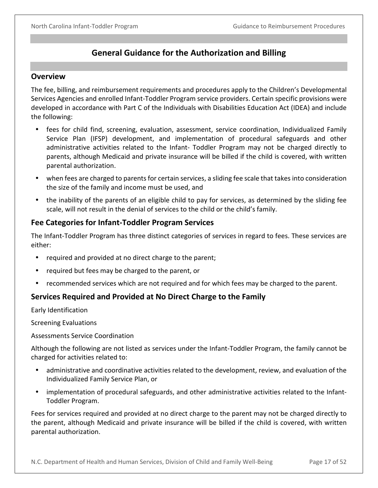## **General Guidance for the Authorization and Billing**

### <span id="page-20-1"></span><span id="page-20-0"></span>**Overview**

The fee, billing, and reimbursement requirements and procedures apply to the Children's Developmental Services Agencies and enrolled Infant-Toddler Program service providers. Certain specific provisions were developed in accordance with Part C of the Individuals with Disabilities Education Act (IDEA) and include the following:

- fees for child find, screening, evaluation, assessment, service coordination, Individualized Family Service Plan (IFSP) development, and implementation of procedural safeguards and other administrative activities related to the Infant- Toddler Program may not be charged directly to parents, although Medicaid and private insurance will be billed if the child is covered, with written parental authorization.
- when fees are charged to parents for certain services, a sliding fee scale that takes into consideration the size of the family and income must be used, and
- the inability of the parents of an eligible child to pay for services, as determined by the sliding fee scale, will not result in the denial of services to the child or the child's family.

## <span id="page-20-2"></span>**Fee Categories for Infant-Toddler Program Services**

The Infant-Toddler Program has three distinct categories of services in regard to fees. These services are either:

- required and provided at no direct charge to the parent;
- required but fees may be charged to the parent, or
- recommended services which are not required and for which fees may be charged to the parent.

## <span id="page-20-3"></span>**Services Required and Provided at No Direct Charge to the Family**

Early Identification

Screening Evaluations

Assessments Service Coordination

Although the following are not listed as services under the Infant-Toddler Program, the family cannot be charged for activities related to:

- administrative and coordinative activities related to the development, review, and evaluation of the Individualized Family Service Plan, or
- implementation of procedural safeguards, and other administrative activities related to the Infant-Toddler Program.

Fees for services required and provided at no direct charge to the parent may not be charged directly to the parent, although Medicaid and private insurance will be billed if the child is covered, with written parental authorization.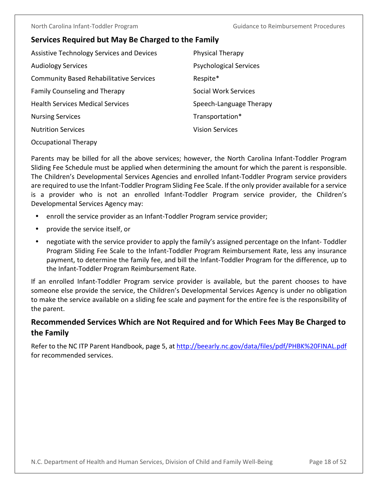## <span id="page-21-0"></span>**Services Required but May Be Charged to the Family**

| <b>Assistive Technology Services and Devices</b> | <b>Physical Therapy</b>       |
|--------------------------------------------------|-------------------------------|
| <b>Audiology Services</b>                        | <b>Psychological Services</b> |
| <b>Community Based Rehabilitative Services</b>   | Respite*                      |
| <b>Family Counseling and Therapy</b>             | <b>Social Work Services</b>   |
| <b>Health Services Medical Services</b>          | Speech-Language Therapy       |
| <b>Nursing Services</b>                          | Transportation*               |
| <b>Nutrition Services</b>                        | <b>Vision Services</b>        |
|                                                  |                               |

Occupational Therapy

Parents may be billed for all the above services; however, the North Carolina Infant-Toddler Program Sliding Fee Schedule must be applied when determining the amount for which the parent is responsible. The Children's Developmental Services Agencies and enrolled Infant-Toddler Program service providers are required to use the Infant-Toddler Program Sliding Fee Scale. If the only provider available for a service is a provider who is not an enrolled Infant-Toddler Program service provider, the Children's Developmental Services Agency may:

- enroll the service provider as an Infant-Toddler Program service provider;
- provide the service itself, or
- negotiate with the service provider to apply the family's assigned percentage on the Infant- Toddler Program Sliding Fee Scale to the Infant-Toddler Program Reimbursement Rate, less any insurance payment, to determine the family fee, and bill the Infant-Toddler Program for the difference, up to the Infant-Toddler Program Reimbursement Rate.

If an enrolled Infant-Toddler Program service provider is available, but the parent chooses to have someone else provide the service, the Children's Developmental Services Agency is under no obligation to make the service available on a sliding fee scale and payment for the entire fee is the responsibility of the parent.

## <span id="page-21-1"></span>**Recommended Services Which are Not Required and for Which Fees May Be Charged to the Family**

Refer to the NC ITP Parent Handbook, page 5, at<http://beearly.nc.gov/data/files/pdf/PHBK%20FINAL.pdf> for recommended services.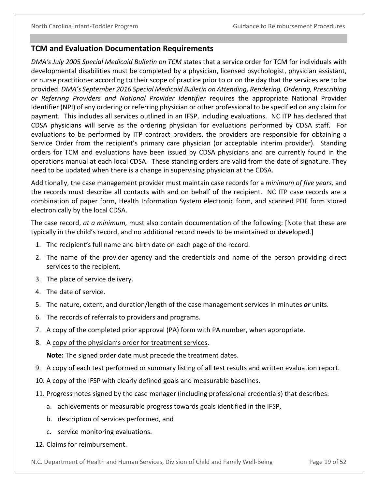#### <span id="page-22-0"></span>**TCM and Evaluation Documentation Requirements**

*DMA's July 2005 Special Medicaid Bulletin on TCM* states that a service order for TCM for individuals with developmental disabilities must be completed by a physician, licensed psychologist, physician assistant, or nurse practitioner according to their scope of practice prior to or on the day that the services are to be provided. *DMA's September 2016 Special Medicaid Bulletin on Attending, Rendering, Ordering, Prescribing or Referring Providers and National Provider Identifier* requires the appropriate National Provider Identifier (NPI) of any ordering or referring physician or other professional to be specified on any claim for payment. This includes all services outlined in an IFSP, including evaluations. NC ITP has declared that CDSA physicians will serve as the ordering physician for evaluations performed by CDSA staff. For evaluations to be performed by ITP contract providers, the providers are responsible for obtaining a Service Order from the recipient's primary care physician (or acceptable interim provider). Standing orders for TCM and evaluations have been issued by CDSA physicians and are currently found in the operations manual at each local CDSA. These standing orders are valid from the date of signature. They need to be updated when there is a change in supervising physician at the CDSA.

Additionally, the case management provider must maintain case records for a *minimum of five years,* and the records must describe all contacts with and on behalf of the recipient. NC ITP case records are a combination of paper form, Health Information System electronic form, and scanned PDF form stored electronically by the local CDSA.

The case record, *at a minimum,* must also contain documentation of the following: [Note that these are typically in the child's record, and no additional record needs to be maintained or developed.]

- 1. The recipient's full name and birth date on each page of the record.
- 2. The name of the provider agency and the credentials and name of the person providing direct services to the recipient.
- 3. The place of service delivery.
- 4. The date of service.
- 5. The nature, extent, and duration/length of the case management services in minutes *or* units.
- 6. The records of referrals to providers and programs.
- 7. A copy of the completed prior approval (PA) form with PA number, when appropriate.
- 8. A copy of the physician's order for treatment services.

**Note:** The signed order date must precede the treatment dates.

- 9. A copy of each test performed or summary listing of all test results and written evaluation report.
- 10. A copy of the IFSP with clearly defined goals and measurable baselines.
- 11. Progress notes signed by the case manager (including professional credentials) that describes:
	- a. achievements or measurable progress towards goals identified in the IFSP,
	- b. description of services performed, and
	- c. service monitoring evaluations.
- 12. Claims for reimbursement.

N.C. Department of Health and Human Services, Division of Child and Family Well-Being Page 19 of 52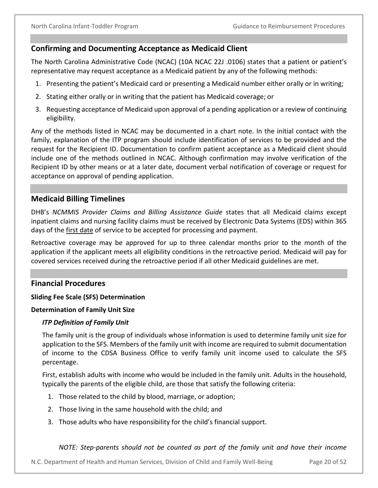### <span id="page-23-0"></span>**Confirming and Documenting Acceptance as Medicaid Client**

The North Carolina Administrative Code (NCAC) (10A NCAC 22J .0106) states that a patient or patient's representative may request acceptance as a Medicaid patient by any of the following methods:

- 1. Presenting the patient's Medicaid card or presenting a Medicaid number either orally or in writing;
- 2. Stating either orally or in writing that the patient has Medicaid coverage; or
- 3. Requesting acceptance of Medicaid upon approval of a pending application or a review of continuing eligibility.

Any of the methods listed in NCAC may be documented in a chart note. In the initial contact with the family, explanation of the ITP program should include identification of services to be provided and the request for the Recipient ID. Documentation to confirm patient acceptance as a Medicaid client should include one of the methods outlined in NCAC. Although confirmation may involve verification of the Recipient ID by other means or at a later date, document verbal notification of coverage or request for acceptance on approval of pending application.

## <span id="page-23-1"></span>**Medicaid Billing Timelines**

DHB's *NCMMIS Provider Claims and Billing Assistance Guide* states that all Medicaid claims except inpatient claims and nursing facility claims must be received by Electronic Data Systems (EDS) within 365 days of the first date of service to be accepted for processing and payment.

Retroactive coverage may be approved for up to three calendar months prior to the month of the application if the applicant meets all eligibility conditions in the retroactive period. Medicaid will pay for covered services received during the retroactive period if all other Medicaid guidelines are met.

#### <span id="page-23-2"></span>**Financial Procedures**

#### <span id="page-23-3"></span>**Sliding Fee Scale (SFS) Determination**

#### <span id="page-23-5"></span><span id="page-23-4"></span>**Determination of Family Unit Size**

#### *ITP Definition of Family Unit*

The family unit is the group of individuals whose information is used to determine family unit size for application to the SFS. Members of the family unit with income are required to submit documentation of income to the CDSA Business Office to verify family unit income used to calculate the SFS percentage.

First, establish adults with income who would be included in the family unit. Adults in the household, typically the parents of the eligible child, are those that satisfy the following criteria:

- 1. Those related to the child by blood, marriage, or adoption;
- 2. Those living in the same household with the child; and
- 3. Those adults who have responsibility for the child's financial support.

#### *NOTE: Step-parents should not be counted as part of the family unit and have their income*

N.C. Department of Health and Human Services, Division of Child and Family Well-Being Page 20 of 52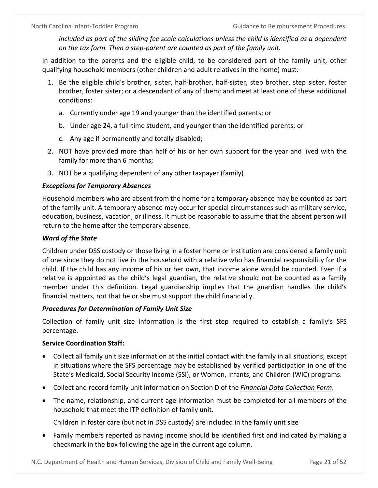*included as part of the sliding fee scale calculations unless the child is identified as a dependent on the tax form. Then a step-parent are counted as part of the family unit.*

In addition to the parents and the eligible child, to be considered part of the family unit, other qualifying household members (other children and adult relatives in the home) must:

- 1. Be the eligible child's brother, sister, half-brother, half-sister, step brother, step sister, foster brother, foster sister; or a descendant of any of them; and meet at least one of these additional conditions:
	- a. Currently under age 19 and younger than the identified parents; or
	- b. Under age 24, a full-time student, and younger than the identified parents; or
	- c. Any age if permanently and totally disabled;
- 2. NOT have provided more than half of his or her own support for the year and lived with the family for more than 6 months;
- 3. NOT be a qualifying dependent of any other taxpayer (family)

## <span id="page-24-0"></span>*Exceptions for Temporary Absences*

Household members who are absent from the home for a temporary absence may be counted as part of the family unit. A temporary absence may occur for special circumstances such as military service, education, business, vacation, or illness. It must be reasonable to assume that the absent person will return to the home after the temporary absence.

## <span id="page-24-1"></span>*Ward of the State*

Children under DSS custody or those living in a foster home or institution are considered a family unit of one since they do not live in the household with a relative who has financial responsibility for the child. If the child has any income of his or her own, that income alone would be counted. Even if a relative is appointed as the child's legal guardian, the relative should not be counted as a family member under this definition. Legal guardianship implies that the guardian handles the child's financial matters, not that he or she must support the child financially.

## <span id="page-24-2"></span>*Procedures for Determination of Family Unit Size*

Collection of family unit size information is the first step required to establish a family's SFS percentage.

## **Service Coordination Staff:**

- Collect all family unit size information at the initial contact with the family in all situations; except in situations where the SFS percentage may be established by verified participation in one of the State's Medicaid, Social Security Income (SSI), or Women, Infants, and Children (WIC) programs.
- Collect and record family unit information on Section D of the *Financial Data Collection Form*.
- The name, relationship, and current age information must be completed for all members of the household that meet the ITP definition of family unit.

Children in foster care (but not in DSS custody) are included in the family unit size

• Family members reported as having income should be identified first and indicated by making a checkmark in the box following the age in the current age column.

N.C. Department of Health and Human Services, Division of Child and Family Well-Being Page 21 of 52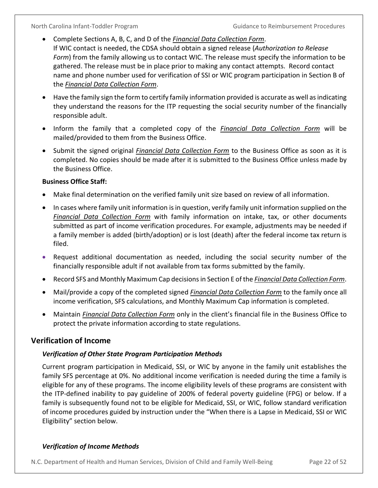- Complete Sections A, B, C, and D of the *Financial Data Collection Form*. If WIC contact is needed, the CDSA should obtain a signed release (*Authorization to Release Form*) from the family allowing us to contact WIC. The release must specify the information to be gathered. The release must be in place prior to making any contact attempts. Record contact name and phone number used for verification of SSI or WIC program participation in Section B of the *Financial Data Collection Form*.
- Have the family sign the form to certify family information provided is accurate as well as indicating they understand the reasons for the ITP requesting the social security number of the financially responsible adult.
- Inform the family that a completed copy of the *Financial Data Collection Form* will be mailed/provided to them from the Business Office.
- Submit the signed original *Financial Data Collection Form* to the Business Office as soon as it is completed. No copies should be made after it is submitted to the Business Office unless made by the Business Office.

## **Business Office Staff:**

- Make final determination on the verified family unit size based on review of all information.
- In cases where family unit information is in question, verify family unit information supplied on the *Financial Data Collection Form* with family information on intake, tax, or other documents submitted as part of income verification procedures. For example, adjustments may be needed if a family member is added (birth/adoption) or is lost (death) after the federal income tax return is filed.
- Request additional documentation as needed, including the social security number of the financially responsible adult if not available from tax forms submitted by the family.
- Record SFS and Monthly Maximum Cap decisionsin Section E of the *Financial Data Collection Form*.
- Mail/provide a copy of the completed signed *Financial Data Collection Form* to the family once all income verification, SFS calculations, and Monthly Maximum Cap information is completed.
- Maintain *Financial Data Collection Form* only in the client's financial file in the Business Office to protect the private information according to state regulations.

## <span id="page-25-0"></span>**Verification of Income**

## <span id="page-25-1"></span>*Verification of Other State Program Participation Methods*

Current program participation in Medicaid, SSI, or WIC by anyone in the family unit establishes the family SFS percentage at 0%. No additional income verification is needed during the time a family is eligible for any of these programs. The income eligibility levels of these programs are consistent with the ITP-defined inability to pay guideline of 200% of federal poverty guideline (FPG) or below. If a family is subsequently found not to be eligible for Medicaid, SSI, or WIC, follow standard verification of income procedures guided by instruction under the "When there is a Lapse in Medicaid, SSI or WIC Eligibility" section below.

## <span id="page-25-2"></span>*Verification of Income Methods*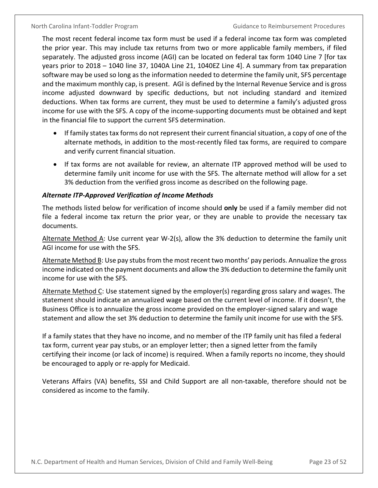The most recent federal income tax form must be used if a federal income tax form was completed the prior year. This may include tax returns from two or more applicable family members, if filed separately. The adjusted gross income (AGI) can be located on federal tax form 1040 Line 7 [for tax years prior to 2018 – 1040 line 37, 1040A Line 21, 1040EZ Line 4]. A summary from tax preparation software may be used so long as the information needed to determine the family unit, SFS percentage and the maximum monthly cap, is present. AGI is defined by the Internal Revenue Service and is gross income adjusted downward by specific deductions, but not including standard and itemized deductions. When tax forms are current, they must be used to determine a family's adjusted gross income for use with the SFS. A copy of the income-supporting documents must be obtained and kept in the financial file to support the current SFS determination.

- If family states tax forms do not represent their current financial situation, a copy of one of the alternate methods, in addition to the most-recently filed tax forms, are required to compare and verify current financial situation.
- If tax forms are not available for review, an alternate ITP approved method will be used to determine family unit income for use with the SFS. The alternate method will allow for a set 3% deduction from the verified gross income as described on the following page.

#### *Alternate ITP-Approved Verification of Income Methods*

The methods listed below for verification of income should **only** be used if a family member did not file a federal income tax return the prior year, or they are unable to provide the necessary tax documents.

Alternate Method A: Use current year W-2(s), allow the 3% deduction to determine the family unit AGI income for use with the SFS.

Alternate Method B: Use pay stubs from the most recent two months' pay periods. Annualize the gross income indicated on the payment documents and allow the 3% deduction to determine the family unit income for use with the SFS.

Alternate Method C: Use statement signed by the employer(s) regarding gross salary and wages. The statement should indicate an annualized wage based on the current level of income. If it doesn't, the Business Office is to annualize the gross income provided on the employer-signed salary and wage statement and allow the set 3% deduction to determine the family unit income for use with the SFS.

If a family states that they have no income, and no member of the ITP family unit has filed a federal tax form, current year pay stubs, or an employer letter; then a signed letter from the family certifying their income (or lack of income) is required. When a family reports no income, they should be encouraged to apply or re-apply for Medicaid.

Veterans Affairs (VA) benefits, SSI and Child Support are all non-taxable, therefore should not be considered as income to the family.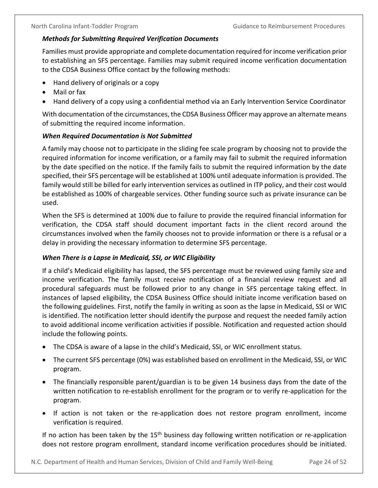#### <span id="page-27-0"></span>*Methods for Submitting Required Verification Documents*

Families must provide appropriate and complete documentation required for income verification prior to establishing an SFS percentage. Families may submit required income verification documentation to the CDSA Business Office contact by the following methods:

- Hand delivery of originals or a copy
- Mail or fax
- Hand delivery of a copy using a confidential method via an Early Intervention Service Coordinator

With documentation of the circumstances, the CDSA Business Officer may approve an alternate means of submitting the required income information.

#### <span id="page-27-1"></span>*When Required Documentation is Not Submitted*

A family may choose not to participate in the sliding fee scale program by choosing not to provide the required information for income verification, or a family may fail to submit the required information by the date specified on the notice. If the family fails to submit the required information by the date specified, their SFS percentage will be established at 100% until adequate information is provided. The family would still be billed for early intervention services as outlined in ITP policy, and their cost would be established as 100% of chargeable services. Other funding source such as private insurance can be used.

When the SFS is determined at 100% due to failure to provide the required financial information for verification, the CDSA staff should document important facts in the client record around the circumstances involved when the family chooses not to provide information or there is a refusal or a delay in providing the necessary information to determine SFS percentage.

#### <span id="page-27-2"></span>*When There is a Lapse in Medicaid, SSI, or WIC Eligibility*

If a child's Medicaid eligibility has lapsed, the SFS percentage must be reviewed using family size and income verification. The family must receive notification of a financial review request and all procedural safeguards must be followed prior to any change in SFS percentage taking effect. In instances of lapsed eligibility, the CDSA Business Office should initiate income verification based on the following guidelines. First, notify the family in writing as soon as the lapse in Medicaid, SSI or WIC is identified. The notification letter should identify the purpose and request the needed family action to avoid additional income verification activities if possible. Notification and requested action should include the following points.

- The CDSA is aware of a lapse in the child's Medicaid, SSI, or WIC enrollment status.
- The current SFS percentage (0%) was established based on enrollment in the Medicaid, SSI, or WIC program.
- The financially responsible parent/guardian is to be given 14 business days from the date of the written notification to re-establish enrollment for the program or to verify re-application for the program.
- If action is not taken or the re-application does not restore program enrollment, income verification is required.

If no action has been taken by the  $15<sup>th</sup>$  business day following written notification or re-application does not restore program enrollment, standard income verification procedures should be initiated.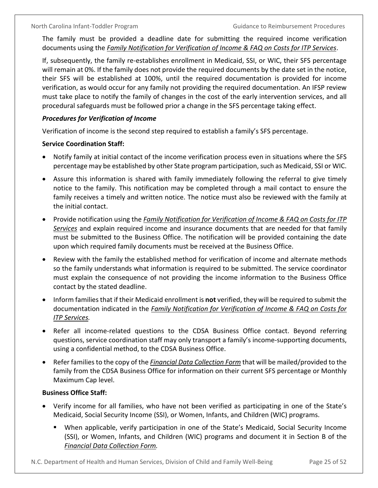The family must be provided a deadline date for submitting the required income verification documents using the *Family Notification for Verification of Income & FAQ on Costs for ITP Services*.

If, subsequently, the family re-establishes enrollment in Medicaid, SSI, or WIC, their SFS percentage will remain at 0%. If the family does not provide the required documents by the date set in the notice, their SFS will be established at 100%, until the required documentation is provided for income verification, as would occur for any family not providing the required documentation. An IFSP review must take place to notify the family of changes in the cost of the early intervention services, and all procedural safeguards must be followed prior a change in the SFS percentage taking effect.

#### <span id="page-28-0"></span>*Procedures for Verification of Income*

Verification of income is the second step required to establish a family's SFS percentage.

#### **Service Coordination Staff:**

- Notify family at initial contact of the income verification process even in situations where the SFS percentage may be established by other State program participation, such as Medicaid, SSI or WIC.
- Assure this information is shared with family immediately following the referral to give timely notice to the family. This notification may be completed through a mail contact to ensure the family receives a timely and written notice. The notice must also be reviewed with the family at the initial contact.
- Provide notification using the *Family Notification for Verification of Income & FAQ on Costs for ITP Services* and explain required income and insurance documents that are needed for that family must be submitted to the Business Office. The notification will be provided containing the date upon which required family documents must be received at the Business Office.
- Review with the family the established method for verification of income and alternate methods so the family understands what information is required to be submitted. The service coordinator must explain the consequence of not providing the income information to the Business Office contact by the stated deadline.
- Inform families that if their Medicaid enrollment is **not** verified, they will be required to submit the documentation indicated in the *Family Notification for Verification of Income & FAQ on Costs for ITP Services.*
- Refer all income-related questions to the CDSA Business Office contact. Beyond referring questions, service coordination staff may only transport a family's income-supporting documents, using a confidential method, to the CDSA Business Office.
- Refer families to the copy of the *Financial Data Collection Form* that will be mailed/provided to the family from the CDSA Business Office for information on their current SFS percentage or Monthly Maximum Cap level.

### **Business Office Staff:**

- Verify income for all families, who have not been verified as participating in one of the State's Medicaid, Social Security Income (SSI), or Women, Infants, and Children (WIC) programs.
	- When applicable, verify participation in one of the State's Medicaid, Social Security Income (SSI), or Women, Infants, and Children (WIC) programs and document it in Section B of the *Financial Data Collection Form.*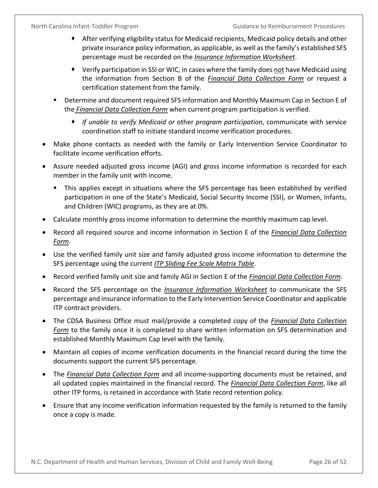- After verifying eligibility status for Medicaid recipients, Medicaid policy details and other private insurance policy information, as applicable, as well as the family's established SFS percentage must be recorded on the *Insurance Information Worksheet*.
- Verify participation in SSI or WIC, in cases where the family does not have Medicaid using the information from Section B of the *Financial Data Collection Form* or request a certification statement from the family.
- Determine and document required SFS information and Monthly Maximum Cap in Section E of the *Financial Data Collection Form* when current program participation is verified.
	- *If unable to verify Medicaid or* other *program participation*, communicate with service coordination staff to initiate standard income verification procedures.
- Make phone contacts as needed with the family or Early Intervention Service Coordinator to facilitate income verification efforts.
- Assure needed adjusted gross income (AGI) and gross income information is recorded for each member in the family unit with income.
	- This applies except in situations where the SFS percentage has been established by verified participation in one of the State's Medicaid, Social Security Income (SSI), or Women, Infants, and Children (WIC) programs, as they are at 0%.
- Calculate monthly gross income information to determine the monthly maximum cap level.
- Record all required source and income information in Section E of the *Financial Data Collection Form*.
- Use the verified family unit size and family adjusted gross income information to determine the SFS percentage using the current *ITP Sliding Fee Scale Matrix Table*.
- Record verified family unit size and family AGI in Section E of the *Financial Data Collection Form.*
- Record the SFS percentage on the *Insurance Information Worksheet* to communicate the SFS percentage and insurance information to the Early Intervention Service Coordinator and applicable ITP contract providers.
- The CDSA Business Office must mail/provide a completed copy of the *Financial Data Collection Form* to the family once it is completed to share written information on SFS determination and established Monthly Maximum Cap level with the family.
- Maintain all copies of income verification documents in the financial record during the time the documents support the current SFS percentage.
- The *Financial Data Collection Form* and all income-supporting documents must be retained, and all updated copies maintained in the financial record. The *Financial Data Collection Form*, like all other ITP forms, is retained in accordance with State record retention policy.
- Ensure that any income verification information requested by the family is returned to the family once a copy is made.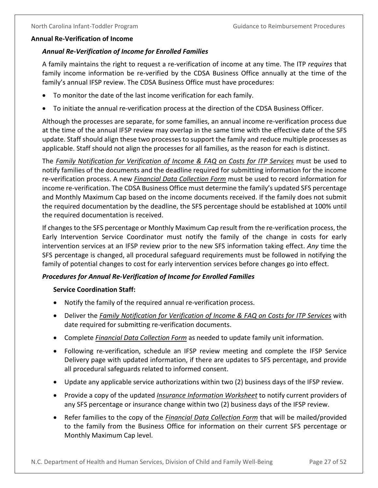#### <span id="page-30-1"></span><span id="page-30-0"></span>**Annual Re-Verification of Income**

#### *Annual Re-Verification of Income for Enrolled Families*

A family maintains the right to request a re-verification of income at any time. The ITP *requires* that family income information be re-verified by the CDSA Business Office annually at the time of the family's annual IFSP review. The CDSA Business Office must have procedures:

- To monitor the date of the last income verification for each family.
- To initiate the annual re-verification process at the direction of the CDSA Business Officer.

Although the processes are separate, for some families, an annual income re-verification process due at the time of the annual IFSP review may overlap in the same time with the effective date of the SFS update. Staff should align these two processes to support the family and reduce multiple processes as applicable. Staff should not align the processes for all families, as the reason for each is distinct.

The *Family Notification for Verification of Income & FAQ on Costs for ITP Services* must be used to notify families of the documents and the deadline required for submitting information for the income re-verification process. A new *Financial Data Collection Form* must be used to record information for income re-verification. The CDSA Business Office must determine the family's updated SFS percentage and Monthly Maximum Cap based on the income documents received. If the family does not submit the required documentation by the deadline, the SFS percentage should be established at 100% until the required documentation is received.

If changes to the SFS percentage or Monthly Maximum Cap result from the re-verification process, the Early Intervention Service Coordinator must notify the family of the change in costs for early intervention services at an IFSP review prior to the new SFS information taking effect. *Any* time the SFS percentage is changed, all procedural safeguard requirements must be followed in notifying the family of potential changes to cost for early intervention services before changes go into effect.

#### <span id="page-30-2"></span>*Procedures for Annual Re-Verification of Income for Enrolled Families*

#### **Service Coordination Staff:**

- Notify the family of the required annual re-verification process.
- Deliver the *Family Notification for Verification of Income & FAQ on Costs for ITP Services* with date required for submitting re-verification documents.
- Complete *Financial Data Collection Form* as needed to update family unit information.
- Following re-verification, schedule an IFSP review meeting and complete the IFSP Service Delivery page with updated information, if there are updates to SFS percentage, and provide all procedural safeguards related to informed consent.
- Update any applicable service authorizations within two (2) business days of the IFSP review.
- Provide a copy of the updated *Insurance Information Worksheet* to notify current providers of any SFS percentage or insurance change within two (2) business days of the IFSP review.
- Refer families to the copy of the *Financial Data Collection Form* that will be mailed/provided to the family from the Business Office for information on their current SFS percentage or Monthly Maximum Cap level.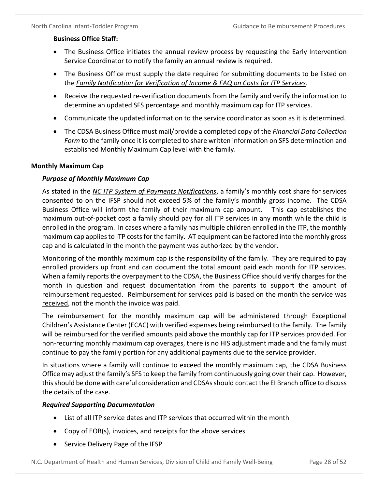### **Business Office Staff:**

- The Business Office initiates the annual review process by requesting the Early Intervention Service Coordinator to notify the family an annual review is required.
- The Business Office must supply the date required for submitting documents to be listed on the *Family Notification for Verification of Income & FAQ on Costs for ITP Services*.
- Receive the requested re-verification documents from the family and verify the information to determine an updated SFS percentage and monthly maximum cap for ITP services.
- Communicate the updated information to the service coordinator as soon as it is determined.
- The CDSA Business Office must mail/provide a completed copy of the *Financial Data Collection Form* to the family once it is completed to share written information on SFS determination and established Monthly Maximum Cap level with the family.

### <span id="page-31-1"></span><span id="page-31-0"></span>**Monthly Maximum Cap**

### *Purpose of Monthly Maximum Cap*

As stated in the *NC ITP System of Payments Notifications*, a family's monthly cost share for services consented to on the IFSP should not exceed 5% of the family's monthly gross income. The CDSA Business Office will inform the family of their maximum cap amount. This cap establishes the maximum out-of-pocket cost a family should pay for all ITP services in any month while the child is enrolled in the program. In cases where a family has multiple children enrolled in the ITP, the monthly maximum cap applies to ITP costs for the family. AT equipment can be factored into the monthly gross cap and is calculated in the month the payment was authorized by the vendor.

Monitoring of the monthly maximum cap is the responsibility of the family. They are required to pay enrolled providers up front and can document the total amount paid each month for ITP services. When a family reports the overpayment to the CDSA, the Business Office should verify charges for the month in question and request documentation from the parents to support the amount of reimbursement requested. Reimbursement for services paid is based on the month the service was received, not the month the invoice was paid.

The reimbursement for the monthly maximum cap will be administered through Exceptional Children's Assistance Center (ECAC) with verified expenses being reimbursed to the family. The family will be reimbursed for the verified amounts paid above the monthly cap for ITP services provided. For non-recurring monthly maximum cap overages, there is no HIS adjustment made and the family must continue to pay the family portion for any additional payments due to the service provider.

In situations where a family will continue to exceed the monthly maximum cap, the CDSA Business Office may adjust the family's SFS to keep the family from continuously going over their cap. However, this should be done with careful consideration and CDSAs should contact the EI Branch office to discuss the details of the case.

#### <span id="page-31-2"></span>*Required Supporting Documentation*

- List of all ITP service dates and ITP services that occurred within the month
- Copy of EOB(s), invoices, and receipts for the above services
- Service Delivery Page of the IFSP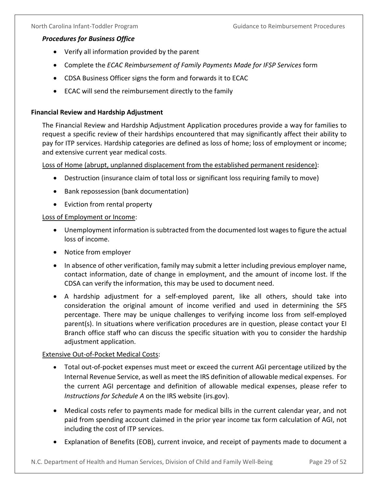#### <span id="page-32-0"></span>*Procedures for Business Office*

- Verify all information provided by the parent
- Complete the *ECAC Reimbursement of Family Payments Made for IFSP Services* form
- CDSA Business Officer signs the form and forwards it to ECAC
- ECAC will send the reimbursement directly to the family

#### <span id="page-32-1"></span>**Financial Review and Hardship Adjustment**

The Financial Review and Hardship Adjustment Application procedures provide a way for families to request a specific review of their hardships encountered that may significantly affect their ability to pay for ITP services. Hardship categories are defined as loss of home; loss of employment or income; and extensive current year medical costs.

Loss of Home (abrupt, unplanned displacement from the established permanent residence):

- Destruction (insurance claim of total loss or significant loss requiring family to move)
- Bank repossession (bank documentation)
- Eviction from rental property

#### Loss of Employment or Income:

- Unemployment information is subtracted from the documented lost wages to figure the actual loss of income.
- Notice from employer
- In absence of other verification, family may submit a letter including previous employer name, contact information, date of change in employment, and the amount of income lost. If the CDSA can verify the information, this may be used to document need.
- A hardship adjustment for a self-employed parent, like all others, should take into consideration the original amount of income verified and used in determining the SFS percentage. There may be unique challenges to verifying income loss from self-employed parent(s). In situations where verification procedures are in question, please contact your EI Branch office staff who can discuss the specific situation with you to consider the hardship adjustment application.

#### Extensive Out-of-Pocket Medical Costs:

- Total out-of-pocket expenses must meet or exceed the current AGI percentage utilized by the Internal Revenue Service, as well as meet the IRS definition of allowable medical expenses. For the current AGI percentage and definition of allowable medical expenses, please refer to *Instructions for Schedule A* on the IRS website (irs.gov).
- Medical costs refer to payments made for medical bills in the current calendar year, and not paid from spending account claimed in the prior year income tax form calculation of AGI, not including the cost of ITP services.
- Explanation of Benefits (EOB), current invoice, and receipt of payments made to document a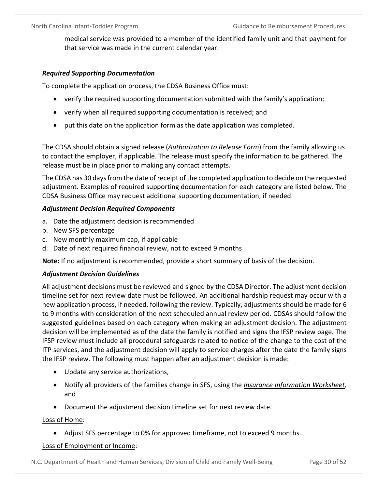medical service was provided to a member of the identified family unit and that payment for that service was made in the current calendar year.

#### <span id="page-33-0"></span>*Required Supporting Documentation*

To complete the application process, the CDSA Business Office must:

- verify the required supporting documentation submitted with the family's application;
- verify when all required supporting documentation is received; and
- put this date on the application form as the date application was completed.

The CDSA should obtain a signed release (*Authorization to Release Form*) from the family allowing us to contact the employer, if applicable. The release must specify the information to be gathered. The release must be in place prior to making any contact attempts.

The CDSA has 30 days from the date of receipt of the completed application to decide on the requested adjustment. Examples of required supporting documentation for each category are listed below. The CDSA Business Office may request additional supporting documentation, if needed.

#### <span id="page-33-1"></span>*Adjustment Decision Required Components*

- a. Date the adjustment decision is recommended
- b. New SFS percentage
- c. New monthly maximum cap, if applicable
- d. Date of next required financial review, not to exceed 9 months

**Note:** If no adjustment is recommended, provide a short summary of basis of the decision.

#### <span id="page-33-2"></span>*Adjustment Decision Guidelines*

All adjustment decisions must be reviewed and signed by the CDSA Director. The adjustment decision timeline set for next review date must be followed. An additional hardship request may occur with a new application process, if needed, following the review. Typically, adjustments should be made for 6 to 9 months with consideration of the next scheduled annual review period. CDSAs should follow the suggested guidelines based on each category when making an adjustment decision. The adjustment decision will be implemented as of the date the family is notified and signs the IFSP review page. The IFSP review must include all procedural safeguards related to notice of the change to the cost of the ITP services, and the adjustment decision will apply to service charges after the date the family signs the IFSP review. The following must happen after an adjustment decision is made:

- Update any service authorizations,
- Notify all providers of the families change in SFS, using the *Insurance Information Worksheet,* and
- Document the adjustment decision timeline set for next review date.

#### Loss of Home:

• Adjust SFS percentage to 0% for approved timeframe, not to exceed 9 months.

#### Loss of Employment or Income: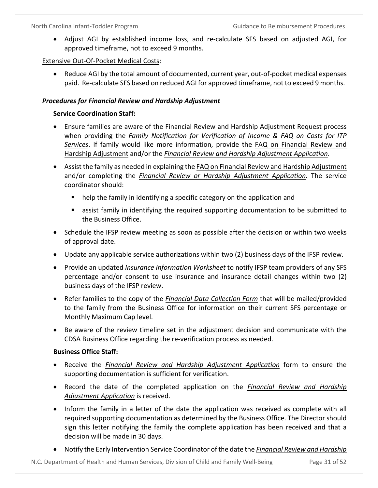• Adjust AGI by established income loss, and re-calculate SFS based on adjusted AGI, for approved timeframe, not to exceed 9 months.

### Extensive Out-Of-Pocket Medical Costs:

• Reduce AGI by the total amount of documented, current year, out-of-pocket medical expenses paid. Re-calculate SFS based on reduced AGI for approved timeframe, not to exceed 9 months.

### <span id="page-34-0"></span>*Procedures for Financial Review and Hardship Adjustment*

### **Service Coordination Staff:**

- Ensure families are aware of the Financial Review and Hardship Adjustment Request process when providing the *Family Notification for Verification of Income & FAQ on Costs for ITP Services*. If family would like more information, provide the FAQ on Financial Review and Hardship Adjustment and/or the *Financial Review and Hardship Adjustment Application*.
- Assist the family as needed in explaining the FAQ on Financial Review and Hardship Adjustment and/or completing the *Financial Review or Hardship Adjustment Application*. The service coordinator should:
	- **•** help the family in identifying a specific category on the application and
	- assist family in identifying the required supporting documentation to be submitted to the Business Office.
- Schedule the IFSP review meeting as soon as possible after the decision or within two weeks of approval date.
- Update any applicable service authorizations within two (2) business days of the IFSP review.
- Provide an updated *Insurance Information Worksheet* to notify IFSP team providers of any SFS percentage and/or consent to use insurance and insurance detail changes within two (2) business days of the IFSP review.
- Refer families to the copy of the *Financial Data Collection Form* that will be mailed/provided to the family from the Business Office for information on their current SFS percentage or Monthly Maximum Cap level.
- Be aware of the review timeline set in the adjustment decision and communicate with the CDSA Business Office regarding the re-verification process as needed.

#### **Business Office Staff:**

- Receive the *Financial Review and Hardship Adjustment Application* form to ensure the supporting documentation is sufficient for verification.
- Record the date of the completed application on the *Financial Review and Hardship Adjustment Application* is received.
- Inform the family in a letter of the date the application was received as complete with all required supporting documentation as determined by the Business Office. The Director should sign this letter notifying the family the complete application has been received and that a decision will be made in 30 days.
- Notify the Early Intervention Service Coordinator of the date the *Financial Review and Hardship*

N.C. Department of Health and Human Services, Division of Child and Family Well-Being Page 31 of 52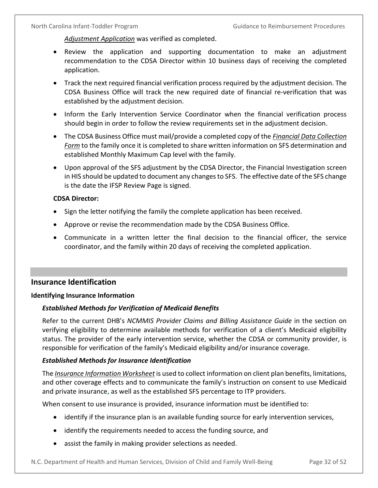*Adjustment Application* was verified as completed.

- Review the application and supporting documentation to make an adjustment recommendation to the CDSA Director within 10 business days of receiving the completed application.
- Track the next required financial verification process required by the adjustment decision. The CDSA Business Office will track the new required date of financial re-verification that was established by the adjustment decision.
- Inform the Early Intervention Service Coordinator when the financial verification process should begin in order to follow the review requirements set in the adjustment decision.
- The CDSA Business Office must mail/provide a completed copy of the *Financial Data Collection Form* to the family once it is completed to share written information on SFS determination and established Monthly Maximum Cap level with the family.
- Upon approval of the SFS adjustment by the CDSA Director, the Financial Investigation screen in HIS should be updated to document any changes to SFS. The effective date of the SFS change is the date the IFSP Review Page is signed.

#### **CDSA Director:**

- Sign the letter notifying the family the complete application has been received.
- Approve or revise the recommendation made by the CDSA Business Office.
- Communicate in a written letter the final decision to the financial officer, the service coordinator, and the family within 20 days of receiving the completed application.

## <span id="page-35-0"></span>**Insurance Identification**

#### <span id="page-35-1"></span>**Identifying Insurance Information**

#### <span id="page-35-2"></span>*Established Methods for Verification of Medicaid Benefits*

Refer to the current DHB's *NCMMIS Provider Claims and Billing Assistance Guide* in the section on verifying eligibility to determine available methods for verification of a client's Medicaid eligibility status. The provider of the early intervention service, whether the CDSA or community provider, is responsible for verification of the family's Medicaid eligibility and/or insurance coverage.

#### <span id="page-35-3"></span>*Established Methods for Insurance Identification*

The *Insurance Information Worksheet* is used to collect information on client plan benefits, limitations, and other coverage effects and to communicate the family's instruction on consent to use Medicaid and private insurance**,** as well as the established SFS percentage to ITP providers.

When consent to use insurance is provided, insurance information must be identified to:

- identify if the insurance plan is an available funding source for early intervention services,
- identify the requirements needed to access the funding source, and
- assist the family in making provider selections as needed.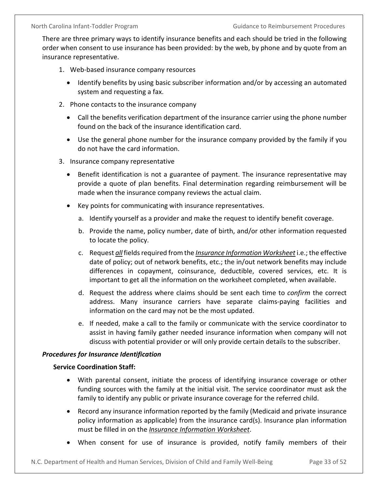There are three primary ways to identify insurance benefits and each should be tried in the following order when consent to use insurance has been provided: by the web, by phone and by quote from an insurance representative.

- 1. Web-based insurance company resources
	- Identify benefits by using basic subscriber information and/or by accessing an automated system and requesting a fax.
- 2. Phone contacts to the insurance company
	- Call the benefits verification department of the insurance carrier using the phone number found on the back of the insurance identification card.
	- Use the general phone number for the insurance company provided by the family if you do not have the card information.
- 3. Insurance company representative
	- Benefit identification is not a guarantee of payment. The insurance representative may provide a quote of plan benefits. Final determination regarding reimbursement will be made when the insurance company reviews the actual claim.
	- Key points for communicating with insurance representatives.
		- a. Identify yourself as a provider and make the request to identify benefit coverage.
		- b. Provide the name, policy number, date of birth, and/or other information requested to locate the policy.
		- c. Request *all* fields required from the *Insurance Information Worksheet* i.e.; the effective date of policy; out of network benefits, etc.; the in/out network benefits may include differences in copayment, coinsurance, deductible, covered services, etc. It is important to get all the information on the worksheet completed, when available.
		- d. Request the address where claims should be sent each time to *confirm* the correct address. Many insurance carriers have separate claims-paying facilities and information on the card may not be the most updated.
		- e. If needed, make a call to the family or communicate with the service coordinator to assist in having family gather needed insurance information when company will not discuss with potential provider or will only provide certain details to the subscriber.

#### <span id="page-36-0"></span>*Procedures for Insurance Identification*

#### **Service Coordination Staff:**

- With parental consent, initiate the process of identifying insurance coverage or other funding sources with the family at the initial visit. The service coordinator must ask the family to identify any public or private insurance coverage for the referred child.
- Record any insurance information reported by the family (Medicaid and private insurance policy information as applicable) from the insurance card(s). Insurance plan information must be filled in on the *Insurance Information Worksheet*.
- When consent for use of insurance is provided, notify family members of their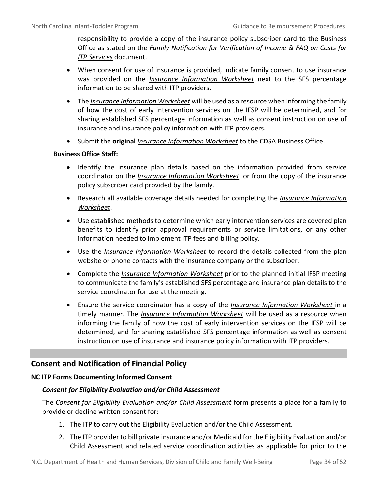responsibility to provide a copy of the insurance policy subscriber card to the Business Office as stated on the *Family Notification for Verification of Income & FAQ on Costs for ITP Services* document.

- When consent for use of insurance is provided, indicate family consent to use insurance was provided on the *Insurance Information Worksheet* next to the SFS percentage information to be shared with ITP providers.
- The *Insurance Information Worksheet* will be used as a resource when informing the family of how the cost of early intervention services on the IFSP will be determined, and for sharing established SFS percentage information as well as consent instruction on use of insurance and insurance policy information with ITP providers.
- Submit the **original** *Insurance Information Worksheet* to the CDSA Business Office.

#### **Business Office Staff:**

- Identify the insurance plan details based on the information provided from service coordinator on the *Insurance Information Worksheet*, or from the copy of the insurance policy subscriber card provided by the family.
- Research all available coverage details needed for completing the *Insurance Information Worksheet*.
- Use established methods to determine which early intervention services are covered plan benefits to identify prior approval requirements or service limitations, or any other information needed to implement ITP fees and billing policy.
- Use the *Insurance Information Worksheet* to record the details collected from the plan website or phone contacts with the insurance company or the subscriber.
- Complete the *Insurance Information Worksheet* prior to the planned initial IFSP meeting to communicate the family's established SFS percentage and insurance plan details to the service coordinator for use at the meeting.
- Ensure the service coordinator has a copy of the *Insurance Information Worksheet* in a timely manner. The *Insurance Information Worksheet* will be used as a resource when informing the family of how the cost of early intervention services on the IFSP will be determined, and for sharing established SFS percentage information as well as consent instruction on use of insurance and insurance policy information with ITP providers.

## <span id="page-37-0"></span>**Consent and Notification of Financial Policy**

#### <span id="page-37-2"></span><span id="page-37-1"></span>**NC ITP Forms Documenting Informed Consent**

#### *Consent for Eligibility Evaluation and/or Child Assessment*

The *Consent for Eligibility Evaluation and/or Child Assessment* form presents a place for a family to provide or decline written consent for:

- 1. The ITP to carry out the Eligibility Evaluation and/or the Child Assessment.
- 2. The ITP provider to bill private insurance and/or Medicaid for the Eligibility Evaluation and/or Child Assessment and related service coordination activities as applicable for prior to the

N.C. Department of Health and Human Services, Division of Child and Family Well-Being Page 34 of 52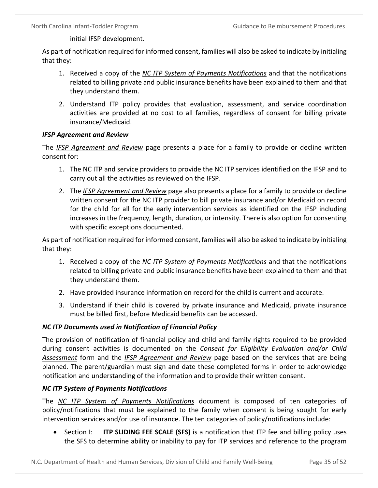initial IFSP development.

As part of notification required for informed consent, families will also be asked to indicate by initialing that they:

- 1. Received a copy of the *NC ITP System of Payments Notifications* and that the notifications related to billing private and public insurance benefits have been explained to them and that they understand them.
- 2. Understand ITP policy provides that evaluation, assessment, and service coordination activities are provided at no cost to all families, regardless of consent for billing private insurance/Medicaid.

#### <span id="page-38-0"></span>*IFSP Agreement and Review*

The *IFSP Agreement and Review* page presents a place for a family to provide or decline written consent for:

- 1. The NC ITP and service providers to provide the NC ITP services identified on the IFSP and to carry out all the activities as reviewed on the IFSP.
- 2. The *IFSP Agreement and Review* page also presents a place for a family to provide or decline written consent for the NC ITP provider to bill private insurance and/or Medicaid on record for the child for all for the early intervention services as identified on the IFSP including increases in the frequency, length, duration, or intensity. There is also option for consenting with specific exceptions documented.

As part of notification required for informed consent, families will also be asked to indicate by initialing that they:

- 1. Received a copy of the *NC ITP System of Payments Notifications* and that the notifications related to billing private and public insurance benefits have been explained to them and that they understand them.
- 2. Have provided insurance information on record for the child is current and accurate.
- 3. Understand if their child is covered by private insurance and Medicaid, private insurance must be billed first, before Medicaid benefits can be accessed.

#### <span id="page-38-1"></span>*NC ITP Documents used in Notification of Financial Policy*

The provision of notification of financial policy and child and family rights required to be provided during consent activities is documented on the *Consent for Eligibility Evaluation and/or Child Assessment* form and the *IFSP Agreement and Review* page based on the services that are being planned. The parent/guardian must sign and date these completed forms in order to acknowledge notification and understanding of the information and to provide their written consent.

#### <span id="page-38-2"></span>*NC ITP System of Payments Notifications*

The *NC ITP System of Payments Notifications* document is composed of ten categories of policy/notifications that must be explained to the family when consent is being sought for early intervention services and/or use of insurance. The ten categories of policy/notifications include:

• Section I: **ITP SLIDING FEE SCALE (SFS)** is a notification that ITP fee and billing policy uses the SFS to determine ability or inability to pay for ITP services and reference to the program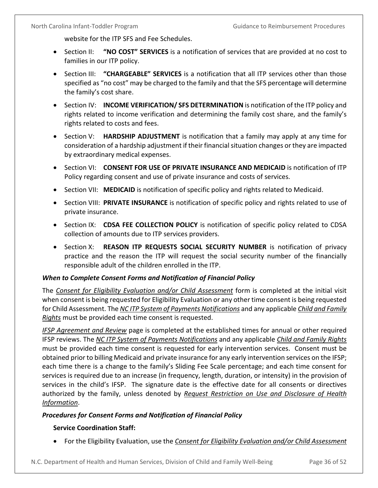website for the ITP SFS and Fee Schedules.

- Section II: **"NO COST" SERVICES** is a notification of services that are provided at no cost to families in our ITP policy.
- Section III: **"CHARGEABLE" SERVICES** is a notification that all ITP services other than those specified as "no cost" may be charged to the family and that the SFS percentage will determine the family's cost share.
- Section IV: **INCOME VERIFICATION/ SFS DETERMINATION** is notification of the ITP policy and rights related to income verification and determining the family cost share, and the family's rights related to costs and fees.
- Section V: **HARDSHIP ADJUSTMENT** is notification that a family may apply at any time for consideration of a hardship adjustment if their financial situation changes or they are impacted by extraordinary medical expenses.
- Section VI: **CONSENT FOR USE OF PRIVATE INSURANCE AND MEDICAID** is notification of ITP Policy regarding consent and use of private insurance and costs of services.
- Section VII: MEDICAID is notification of specific policy and rights related to Medicaid.
- Section VIII: **PRIVATE INSURANCE** is notification of specific policy and rights related to use of private insurance.
- Section IX: **CDSA FEE COLLECTION POLICY** is notification of specific policy related to CDSA collection of amounts due to ITP services providers.
- Section X: **REASON ITP REQUESTS SOCIAL SECURITY NUMBER** is notification of privacy practice and the reason the ITP will request the social security number of the financially responsible adult of the children enrolled in the ITP.

#### <span id="page-39-0"></span>*When to Complete Consent Forms and Notification of Financial Policy*

The *Consent for Eligibility Evaluation and/or Child Assessment* form is completed at the initial visit when consent is being requested for Eligibility Evaluation or any other time consent is being requested for Child Assessment. The *NC ITP System of Payments Notifications* and any applicable *Child and Family Rights* must be provided each time consent is requested.

*IFSP Agreement and Review* page is completed at the established times for annual or other required IFSP reviews. The *NC ITP System of Payments Notifications* and any applicable *Child and Family Rights* must be provided each time consent is requested for early intervention services. Consent must be obtained prior to billing Medicaid and private insurance for any early intervention services on the IFSP; each time there is a change to the family's Sliding Fee Scale percentage; and each time consent for services is required due to an increase (in frequency, length, duration, or intensity) in the provision of services in the child's IFSP. The signature date is the effective date for all consents or directives authorized by the family, unless denoted by *Request Restriction on Use and Disclosure of Health Information*.

## <span id="page-39-1"></span>*Procedures for Consent Forms and Notification of Financial Policy*

#### **Service Coordination Staff:**

• For the Eligibility Evaluation, use the *Consent for Eligibility Evaluation and/or Child Assessment*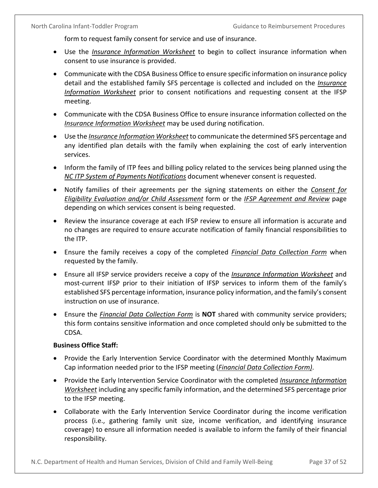form to request family consent for service and use of insurance.

- Use the *Insurance Information Worksheet* to begin to collect insurance information when consent to use insurance is provided.
- Communicate with the CDSA Business Office to ensure specific information on insurance policy detail and the established family SFS percentage is collected and included on the *Insurance Information Worksheet* prior to consent notifications and requesting consent at the IFSP meeting.
- Communicate with the CDSA Business Office to ensure insurance information collected on the *Insurance Information Worksheet* may be used during notification.
- Use the *Insurance Information Worksheet* to communicate the determined SFS percentage and any identified plan details with the family when explaining the cost of early intervention services.
- Inform the family of ITP fees and billing policy related to the services being planned using the *NC ITP System of Payments Notifications* document whenever consent is requested.
- Notify families of their agreements per the signing statements on either the *Consent for Eligibility Evaluation and/or Child Assessment* form or the *IFSP Agreement and Review* page depending on which services consent is being requested.
- Review the insurance coverage at each IFSP review to ensure all information is accurate and no changes are required to ensure accurate notification of family financial responsibilities to the ITP.
- Ensure the family receives a copy of the completed *Financial Data Collection Form* when requested by the family.
- Ensure all IFSP service providers receive a copy of the *Insurance Information Worksheet* and most-current IFSP prior to their initiation of IFSP services to inform them of the family's established SFS percentage information, insurance policy information, and the family's consent instruction on use of insurance.
- Ensure the *Financial Data Collection Form* is **NOT** shared with community service providers; this form contains sensitive information and once completed should only be submitted to the CDSA.

#### **Business Office Staff:**

- Provide the Early Intervention Service Coordinator with the determined Monthly Maximum Cap information needed prior to the IFSP meeting (*Financial Data Collection Form)*.
- Provide the Early Intervention Service Coordinator with the completed *Insurance Information Worksheet* including any specific family information, and the determined SFS percentage prior to the IFSP meeting.
- Collaborate with the Early Intervention Service Coordinator during the income verification process (i.e., gathering family unit size, income verification, and identifying insurance coverage) to ensure all information needed is available to inform the family of their financial responsibility.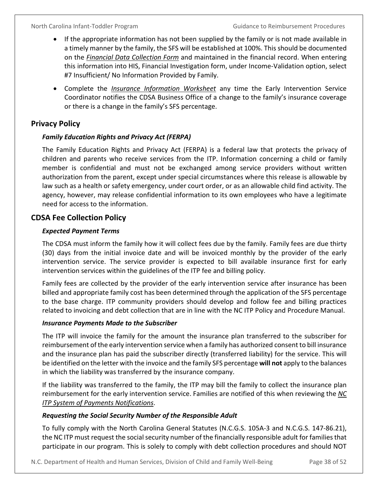- If the appropriate information has not been supplied by the family or is not made available in a timely manner by the family, the SFS will be established at 100%. This should be documented on the *Financial Data Collection Form* and maintained in the financial record. When entering this information into HIS, Financial Investigation form, under Income-Validation option, select #7 Insufficient/ No Information Provided by Family.
- Complete the *Insurance Information Worksheet* any time the Early Intervention Service Coordinator notifies the CDSA Business Office of a change to the family's insurance coverage or there is a change in the family's SFS percentage.

## <span id="page-41-0"></span>**Privacy Policy**

## <span id="page-41-1"></span>*Family Education Rights and Privacy Act (FERPA)*

The Family Education Rights and Privacy Act (FERPA) is a federal law that protects the privacy of children and parents who receive services from the ITP. Information concerning a child or family member is confidential and must not be exchanged among service providers without written authorization from the parent, except under special circumstances where this release is allowable by law such as a health or safety emergency, under court order, or as an allowable child find activity. The agency, however, may release confidential information to its own employees who have a legitimate need for access to the information.

## <span id="page-41-2"></span>**CDSA Fee Collection Policy**

## <span id="page-41-3"></span>*Expected Payment Terms*

The CDSA must inform the family how it will collect fees due by the family. Family fees are due thirty (30) days from the initial invoice date and will be invoiced monthly by the provider of the early intervention service. The service provider is expected to bill available insurance first for early intervention services within the guidelines of the ITP fee and billing policy.

Family fees are collected by the provider of the early intervention service after insurance has been billed and appropriate family cost has been determined through the application of the SFS percentage to the base charge. ITP community providers should develop and follow fee and billing practices related to invoicing and debt collection that are in line with the NC ITP Policy and Procedure Manual.

## <span id="page-41-4"></span>*Insurance Payments Made to the Subscriber*

The ITP will invoice the family for the amount the insurance plan transferred to the subscriber for reimbursement of the early intervention service when a family has authorized consent to bill insurance and the insurance plan has paid the subscriber directly (transferred liability) for the service. This will be identified on the letter with the invoice and the family SFS percentage **will not** apply to the balances in which the liability was transferred by the insurance company.

If the liability was transferred to the family, the ITP may bill the family to collect the insurance plan reimbursement for the early intervention service. Families are notified of this when reviewing the *NC ITP System of Payments Notifications*.

## <span id="page-41-5"></span>*Requesting the Social Security Number of the Responsible Adult*

To fully comply with the North Carolina General Statutes (N.C.G.S. 105A-3 and N.C.G.S. 147-86.21), the NC ITP must request the social security number of the financially responsible adult for families that participate in our program. This is solely to comply with debt collection procedures and should NOT

N.C. Department of Health and Human Services, Division of Child and Family Well-Being Page 38 of 52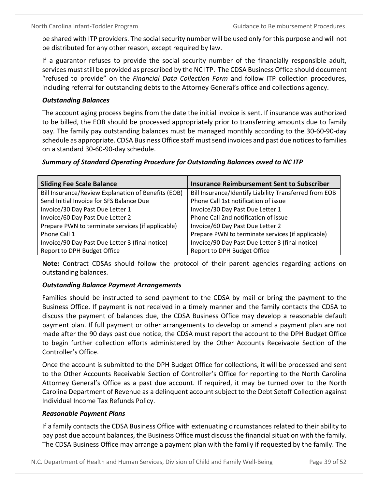be shared with ITP providers. The social security number will be used only for this purpose and will not be distributed for any other reason, except required by law.

If a guarantor refuses to provide the social security number of the financially responsible adult, services must still be provided as prescribed by the NC ITP. The CDSA Business Office should document "refused to provide" on the *Financial Data Collection Form* and follow ITP collection procedures, including referral for outstanding debts to the Attorney General's office and collections agency.

### <span id="page-42-0"></span>*Outstanding Balances*

The account aging process begins from the date the initial invoice is sent. If insurance was authorized to be billed, the EOB should be processed appropriately prior to transferring amounts due to family pay. The family pay outstanding balances must be managed monthly according to the 30-60-90-day schedule as appropriate. CDSA Business Office staff must send invoices and past due notices to families on a standard 30-60-90-day schedule.

### <span id="page-42-1"></span>*Summary of Standard Operating Procedure for Outstanding Balances owed to NC ITP*

| <b>Sliding Fee Scale Balance</b>                    | <b>Insurance Reimbursement Sent to Subscriber</b>      |
|-----------------------------------------------------|--------------------------------------------------------|
| Bill Insurance/Review Explanation of Benefits (EOB) | Bill Insurance/Identify Liability Transferred from EOB |
| Send Initial Invoice for SFS Balance Due            | Phone Call 1st notification of issue                   |
| Invoice/30 Day Past Due Letter 1                    | Invoice/30 Day Past Due Letter 1                       |
| Invoice/60 Day Past Due Letter 2                    | Phone Call 2nd notification of issue                   |
| Prepare PWN to terminate services (if applicable)   | Invoice/60 Day Past Due Letter 2                       |
| Phone Call 1                                        | Prepare PWN to terminate services (if applicable)      |
| Invoice/90 Day Past Due Letter 3 (final notice)     | Invoice/90 Day Past Due Letter 3 (final notice)        |
| Report to DPH Budget Office                         | Report to DPH Budget Office                            |

**Note:** Contract CDSAs should follow the protocol of their parent agencies regarding actions on outstanding balances.

#### <span id="page-42-2"></span>*Outstanding Balance Payment Arrangements*

Families should be instructed to send payment to the CDSA by mail or bring the payment to the Business Office. If payment is not received in a timely manner and the family contacts the CDSA to discuss the payment of balances due, the CDSA Business Office may develop a reasonable default payment plan. If full payment or other arrangements to develop or amend a payment plan are not made after the 90 days past due notice, the CDSA must report the account to the DPH Budget Office to begin further collection efforts administered by the Other Accounts Receivable Section of the Controller's Office.

Once the account is submitted to the DPH Budget Office for collections, it will be processed and sent to the Other Accounts Receivable Section of Controller's Office for reporting to the North Carolina Attorney General's Office as a past due account. If required, it may be turned over to the North Carolina Department of Revenue as a delinquent account subject to the Debt Setoff Collection against Individual Income Tax Refunds Policy.

#### <span id="page-42-3"></span>*Reasonable Payment Plans*

If a family contacts the CDSA Business Office with extenuating circumstances related to their ability to pay past due account balances, the Business Office must discuss the financial situation with the family. The CDSA Business Office may arrange a payment plan with the family if requested by the family. The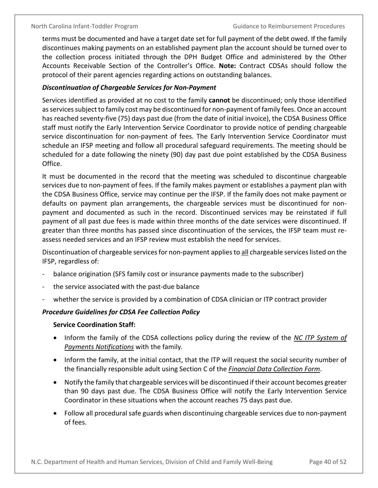terms must be documented and have a target date set for full payment of the debt owed. If the family discontinues making payments on an established payment plan the account should be turned over to the collection process initiated through the DPH Budget Office and administered by the Other Accounts Receivable Section of the Controller's Office. **Note:** Contract CDSAs should follow the protocol of their parent agencies regarding actions on outstanding balances.

## <span id="page-43-0"></span>*Discontinuation of Chargeable Services for Non-Payment*

Services identified as provided at no cost to the family **cannot** be discontinued; only those identified as services subject to family cost may be discontinued for non-payment of family fees. Once an account has reached seventy-five (75) days past due (from the date of initial invoice), the CDSA Business Office staff must notify the Early Intervention Service Coordinator to provide notice of pending chargeable service discontinuation for non-payment of fees. The Early Intervention Service Coordinator must schedule an IFSP meeting and follow all procedural safeguard requirements. The meeting should be scheduled for a date following the ninety (90) day past due point established by the CDSA Business Office.

It must be documented in the record that the meeting was scheduled to discontinue chargeable services due to non-payment of fees. If the family makes payment or establishes a payment plan with the CDSA Business Office, service may continue per the IFSP. If the family does not make payment or defaults on payment plan arrangements, the chargeable services must be discontinued for nonpayment and documented as such in the record. Discontinued services may be reinstated if full payment of all past due fees is made within three months of the date services were discontinued. If greater than three months has passed since discontinuation of the services, the IFSP team must reassess needed services and an IFSP review must establish the need for services.

Discontinuation of chargeable services for non-payment applies to all chargeable services listed on the IFSP, regardless of:

- balance origination (SFS family cost or insurance payments made to the subscriber)
- the service associated with the past-due balance
- whether the service is provided by a combination of CDSA clinician or ITP contract provider

## <span id="page-43-1"></span>*Procedure Guidelines for CDSA Fee Collection Policy*

#### **Service Coordination Staff:**

- Inform the family of the CDSA collections policy during the review of the *NC ITP System of Payments Notifications* with the family.
- Inform the family, at the initial contact, that the ITP will request the social security number of the financially responsible adult using Section C of the *Financial Data Collection Form*.
- Notify the family that chargeable services will be discontinued if their account becomes greater than 90 days past due. The CDSA Business Office will notify the Early Intervention Service Coordinator in these situations when the account reaches 75 days past due.
- Follow all procedural safe guards when discontinuing chargeable services due to non-payment of fees.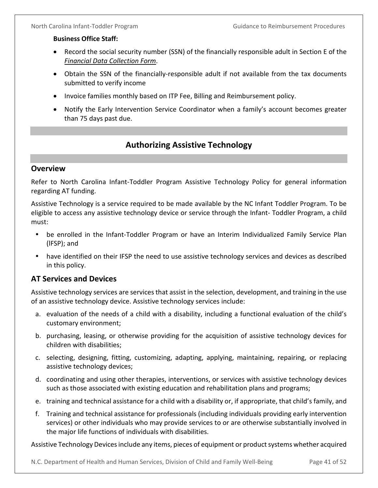### **Business Office Staff:**

- Record the social security number (SSN) of the financially responsible adult in Section E of the *Financial Data Collection Form*.
- Obtain the SSN of the financially-responsible adult if not available from the tax documents submitted to verify income
- Invoice families monthly based on ITP Fee, Billing and Reimbursement policy.
- Notify the Early Intervention Service Coordinator when a family's account becomes greater than 75 days past due.

## **Authorizing Assistive Technology**

## <span id="page-44-1"></span><span id="page-44-0"></span>**Overview**

Refer to North Carolina Infant-Toddler Program Assistive Technology Policy for general information regarding AT funding.

Assistive Technology is a service required to be made available by the NC Infant Toddler Program. To be eligible to access any assistive technology device or service through the Infant- Toddler Program, a child must:

- be enrolled in the Infant-Toddler Program or have an Interim Individualized Family Service Plan (lFSP); and
- have identified on their IFSP the need to use assistive technology services and devices as described in this policy.

## <span id="page-44-2"></span>**AT Services and Devices**

Assistive technology services are services that assist in the selection, development, and training in the use of an assistive technology device. Assistive technology services include:

- a. evaluation of the needs of a child with a disability, including a functional evaluation of the child's customary environment;
- b. purchasing, leasing, or otherwise providing for the acquisition of assistive technology devices for children with disabilities;
- c. selecting, designing, fitting, customizing, adapting, applying, maintaining, repairing, or replacing assistive technology devices;
- d. coordinating and using other therapies, interventions, or services with assistive technology devices such as those associated with existing education and rehabilitation plans and programs;
- e. training and technical assistance for a child with a disability or, if appropriate, that child's family, and
- f. Training and technical assistance for professionals (including individuals providing early intervention services) or other individuals who may provide services to or are otherwise substantially involved in the major life functions of individuals with disabilities.

Assistive Technology Devices include any items, pieces of equipment or product systems whether acquired

N.C. Department of Health and Human Services, Division of Child and Family Well-Being Page 41 of 52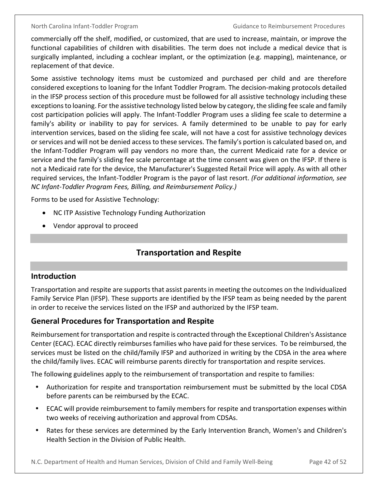commercially off the shelf, modified, or customized, that are used to increase, maintain, or improve the functional capabilities of children with disabilities. The term does not include a medical device that is surgically implanted, including a cochlear implant, or the optimization (e.g. mapping), maintenance, or replacement of that device.

Some assistive technology items must be customized and purchased per child and are therefore considered exceptions to loaning for the Infant Toddler Program. The decision-making protocols detailed in the IFSP process section of this procedure must be followed for all assistive technology including these exceptions to loaning. For the assistive technology listed below by category, the sliding fee scale and family cost participation policies will apply. The Infant-Toddler Program uses a sliding fee scale to determine a family's ability or inability to pay for services. A family determined to be unable to pay for early intervention services, based on the sliding fee scale, will not have a cost for assistive technology devices or services and will not be denied access to these services. The family's portion is calculated based on, and the Infant-Toddler Program will pay vendors no more than, the current Medicaid rate for a device or service and the family's sliding fee scale percentage at the time consent was given on the IFSP. If there is not a Medicaid rate for the device, the Manufacturer's Suggested Retail Price will apply. As with all other required services, the Infant-Toddler Program is the payor of last resort. *(For additional information, see NC Infant-Toddler Program Fees, Billing, and Reimbursement Policy.)*

Forms to be used for Assistive Technology:

- NC ITP Assistive Technology Funding Authorization
- <span id="page-45-0"></span>• Vendor approval to proceed

## **Transportation and Respite**

#### <span id="page-45-1"></span>**Introduction**

Transportation and respite are supports that assist parents in meeting the outcomes on the Individualized Family Service Plan (IFSP). These supports are identified by the IFSP team as being needed by the parent in order to receive the services listed on the IFSP and authorized by the IFSP team.

## <span id="page-45-2"></span>**General Procedures for Transportation and Respite**

Reimbursement for transportation and respite is contracted through the Exceptional Children's Assistance Center (ECAC). ECAC directly reimburses families who have paid for these services. To be reimbursed, the services must be listed on the child/family IFSP and authorized in writing by the CDSA in the area where the child/family lives. ECAC will reimburse parents directly for transportation and respite services.

The following guidelines apply to the reimbursement of transportation and respite to families:

- Authorization for respite and transportation reimbursement must be submitted by the local CDSA before parents can be reimbursed by the ECAC.
- ECAC will provide reimbursement to family members for respite and transportation expenses within two weeks of receiving authorization and approval from CDSAs.
- Rates for these services are determined by the Early Intervention Branch, Women's and Children's Health Section in the Division of Public Health.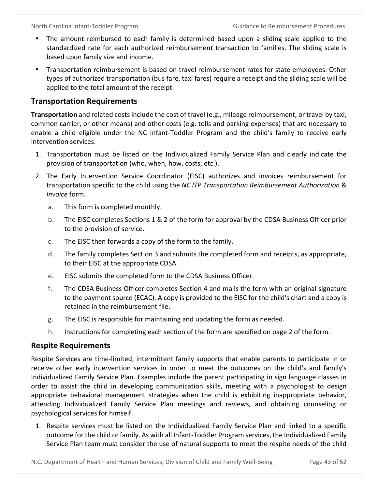- The amount reimbursed to each family is determined based upon a sliding scale applied to the standardized rate for each authorized reimbursement transaction to families. The sliding scale is based upon family size and income.
- Transportation reimbursement is based on travel reimbursement rates for state employees. Other types of authorized transportation (bus fare, taxi fares) require a receipt and the sliding scale will be applied to the total amount of the receipt.

## <span id="page-46-0"></span>**Transportation Requirements**

**Transportation** and related costs include the cost of travel (e.g., mileage reimbursement, or travel by taxi, common carrier, or other means) and other costs (e.g. tolls and parking expenses) that are necessary to enable a child eligible under the NC Infant-Toddler Program and the child's family to receive early intervention services.

- 1. Transportation must be listed on the Individualized Family Service Plan and clearly indicate the provision of transportation (who, when, how, costs, etc.).
- 2. The Early Intervention Service Coordinator (EISC) authorizes and invoices reimbursement for transportation specific to the child using the *NC ITP Transportation Reimbursement Authorization* & *Invoice* form.
	- a. This form is completed monthly.
	- b. The EISC completes Sections 1 & 2 of the form for approval by the CDSA Business Officer prior to the provision of service.
	- c. The EISC then forwards a copy of the form to the family.
	- d. The family completes Section 3 and submits the completed form and receipts, as appropriate, to their EISC at the appropriate CDSA.
	- e. EISC submits the completed form to the CDSA Business Officer.
	- f. The CDSA Business Officer completes Section 4 and mails the form with an original signature to the payment source (ECAC). A copy is provided to the EISC for the child's chart and a copy is retained in the reimbursement file.
	- g. The EISC is responsible for maintaining and updating the form as needed.
	- h. Instructions for completing each section of the form are specified on page 2 of the form.

## <span id="page-46-1"></span>**Respite Requirements**

Respite Services are time-limited, intermittent family supports that enable parents to participate in or receive other early intervention services in order to meet the outcomes on the child's and family's Individualized Family Service Plan. Examples include the parent participating in sign language classes in order to assist the child in developing communication skills, meeting with a psychologist to design appropriate behavioral management strategies when the child is exhibiting inappropriate behavior, attending Individualized Family Service Plan meetings and reviews, and obtaining counseling or psychological services for himself.

1. Respite services must be listed on the Individualized Family Service Plan and linked to a specific outcome for the child or family. As with all Infant-Toddler Program services, the Individualized Family Service Plan team must consider the use of natural supports to meet the respite needs of the child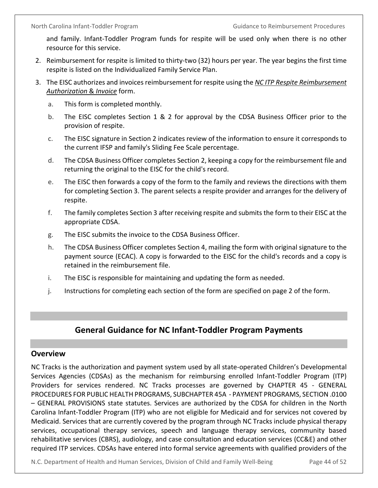and family. Infant-Toddler Program funds for respite will be used only when there is no other resource for this service.

- 2. Reimbursement for respite is limited to thirty-two (32) hours per year. The year begins the first time respite is listed on the Individualized Family Service Plan.
- 3. The EISC authorizes and invoices reimbursement for respite using the *NC ITP Respite Reimbursement Authorization* & *Invoice* form.
	- a. This form is completed monthly.
	- b. The EISC completes Section 1 & 2 for approval by the CDSA Business Officer prior to the provision of respite.
	- c. The EISC signature in Section 2 indicates review of the information to ensure it corresponds to the current IFSP and family's Sliding Fee Scale percentage.
	- d. The CDSA Business Officer completes Section 2, keeping a copy for the reimbursement file and returning the original to the EISC for the child's record.
	- e. The EISC then forwards a copy of the form to the family and reviews the directions with them for completing Section 3. The parent selects a respite provider and arranges for the delivery of respite.
	- f. The family completes Section 3 after receiving respite and submits the form to their EISC at the appropriate CDSA.
	- g. The EISC submits the invoice to the CDSA Business Officer.
	- h. The CDSA Business Officer completes Section 4, mailing the form with original signature to the payment source (ECAC). A copy is forwarded to the EISC for the child's records and a copy is retained in the reimbursement file.
	- i. The EISC is responsible for maintaining and updating the form as needed.
	- j. Instructions for completing each section of the form are specified on page 2 of the form.

## **General Guidance for NC Infant-Toddler Program Payments**

#### <span id="page-47-1"></span><span id="page-47-0"></span>**Overview**

NC Tracks is the authorization and payment system used by all state-operated Children's Developmental Services Agencies (CDSAs) as the mechanism for reimbursing enrolled Infant-Toddler Program (ITP) Providers for services rendered. NC Tracks processes are governed by CHAPTER 45 - GENERAL PROCEDURES FOR PUBLIC HEALTH PROGRAMS, SUBCHAPTER 45A - PAYMENT PROGRAMS, SECTION .0100 – GENERAL PROVISIONS state statutes. Services are authorized by the CDSA for children in the North Carolina Infant-Toddler Program (ITP) who are not eligible for Medicaid and for services not covered by Medicaid. Services that are currently covered by the program through NC Tracks include physical therapy services, occupational therapy services, speech and language therapy services, community based rehabilitative services (CBRS), audiology, and case consultation and education services (CC&E) and other required ITP services. CDSAs have entered into formal service agreements with qualified providers of the

N.C. Department of Health and Human Services, Division of Child and Family Well-Being Page 44 of 52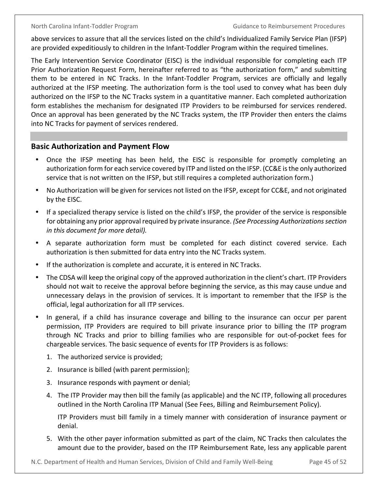above services to assure that all the services listed on the child's Individualized Family Service Plan (IFSP) are provided expeditiously to children in the Infant-Toddler Program within the required timelines.

The Early Intervention Service Coordinator (EISC) is the individual responsible for completing each ITP Prior Authorization Request Form, hereinafter referred to as "the authorization form," and submitting them to be entered in NC Tracks. In the Infant-Toddler Program, services are officially and legally authorized at the IFSP meeting. The authorization form is the tool used to convey what has been duly authorized on the IFSP to the NC Tracks system in a quantitative manner. Each completed authorization form establishes the mechanism for designated ITP Providers to be reimbursed for services rendered. Once an approval has been generated by the NC Tracks system, the ITP Provider then enters the claims into NC Tracks for payment of services rendered.

## <span id="page-48-0"></span>**Basic Authorization and Payment Flow**

- Once the IFSP meeting has been held, the EISC is responsible for promptly completing an authorization form for each service covered by ITP and listed on the IFSP. (CC&E is the only authorized service that is not written on the IFSP, but still requires a completed authorization form.)
- No Authorization will be given for services not listed on the IFSP, except for CC&E, and not originated by the EISC.
- If a specialized therapy service is listed on the child's IFSP, the provider of the service is responsible for obtaining any prior approval required by private insurance. *(See Processing Authorizations section in this document for more detail).*
- A separate authorization form must be completed for each distinct covered service. Each authorization is then submitted for data entry into the NC Tracks system.
- If the authorization is complete and accurate, it is entered in NC Tracks.
- The CDSA will keep the original copy of the approved authorization in the client's chart. ITP Providers should not wait to receive the approval before beginning the service, as this may cause undue and unnecessary delays in the provision of services. It is important to remember that the IFSP is the official, legal authorization for all ITP services.
- In general, if a child has insurance coverage and billing to the insurance can occur per parent permission, ITP Providers are required to bill private insurance prior to billing the ITP program through NC Tracks and prior to billing families who are responsible for out-of-pocket fees for chargeable services. The basic sequence of events for ITP Providers is as follows:
	- 1. The authorized service is provided;
	- 2. Insurance is billed (with parent permission);
	- 3. Insurance responds with payment or denial;
	- 4. The ITP Provider may then bill the family (as applicable) and the NC ITP, following all procedures outlined in the North Carolina ITP Manual (See Fees, Billing and Reimbursement Policy).

ITP Providers must bill family in a timely manner with consideration of insurance payment or denial.

5. With the other payer information submitted as part of the claim, NC Tracks then calculates the amount due to the provider, based on the ITP Reimbursement Rate, less any applicable parent

N.C. Department of Health and Human Services, Division of Child and Family Well-Being Page 45 of 52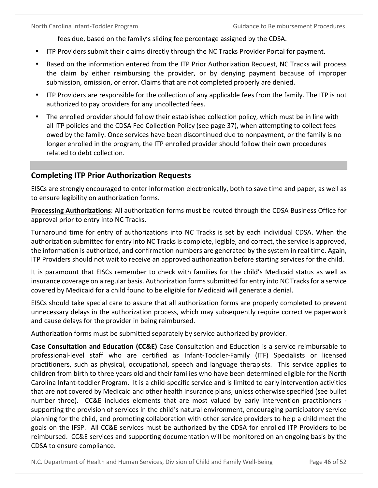fees due, based on the family's sliding fee percentage assigned by the CDSA.

- ITP Providers submit their claims directly through the NC Tracks Provider Portal for payment.
- Based on the information entered from the ITP Prior Authorization Request, NC Tracks will process the claim by either reimbursing the provider, or by denying payment because of improper submission, omission, or error. Claims that are not completed properly are denied.
- ITP Providers are responsible for the collection of any applicable fees from the family. The ITP is not authorized to pay providers for any uncollected fees.
- The enrolled provider should follow their established collection policy, which must be in line with all ITP policies and the CDSA Fee Collection Policy (see page 37), when attempting to collect fees owed by the family. Once services have been discontinued due to nonpayment, or the family is no longer enrolled in the program, the ITP enrolled provider should follow their own procedures related to debt collection.

## <span id="page-49-0"></span>**Completing ITP Prior Authorization Requests**

EISCs are strongly encouraged to enter information electronically, both to save time and paper, as well as to ensure legibility on authorization forms.

**Processing Authorizations**: All authorization forms must be routed through the CDSA Business Office for approval prior to entry into NC Tracks.

Turnaround time for entry of authorizations into NC Tracks is set by each individual CDSA. When the authorization submitted for entry into NC Tracks is complete, legible, and correct, the service is approved, the information is authorized, and confirmation numbers are generated by the system in real time. Again, ITP Providers should not wait to receive an approved authorization before starting services for the child.

It is paramount that EISCs remember to check with families for the child's Medicaid status as well as insurance coverage on a regular basis. Authorization forms submitted for entry into NC Tracks for a service covered by Medicaid for a child found to be eligible for Medicaid will generate a denial.

EISCs should take special care to assure that all authorization forms are properly completed to prevent unnecessary delays in the authorization process, which may subsequently require corrective paperwork and cause delays for the provider in being reimbursed.

Authorization forms must be submitted separately by service authorized by provider.

**Case Consultation and Education (CC&E)** Case Consultation and Education is a service reimbursable to professional-level staff who are certified as Infant-Toddler-Family (ITF) Specialists or licensed practitioners, such as physical, occupational, speech and language therapists. This service applies to children from birth to three years old and their families who have been determined eligible for the North Carolina Infant-toddler Program. It is a child-specific service and is limited to early intervention activities that are not covered by Medicaid and other health insurance plans, unless otherwise specified (see bullet number three). CC&E includes elements that are most valued by early intervention practitioners supporting the provision of services in the child's natural environment, encouraging participatory service planning for the child, and promoting collaboration with other service providers to help a child meet the goals on the IFSP. All CC&E services must be authorized by the CDSA for enrolled ITP Providers to be reimbursed. CC&E services and supporting documentation will be monitored on an ongoing basis by the CDSA to ensure compliance.

N.C. Department of Health and Human Services, Division of Child and Family Well-Being Page 46 of 52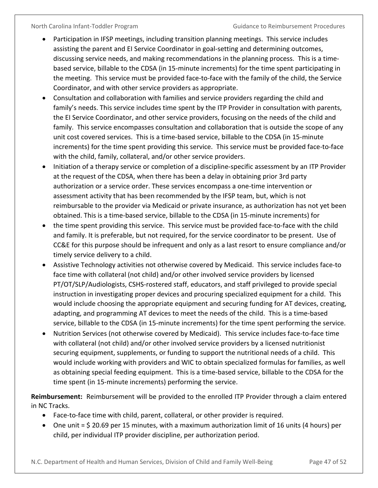- Participation in IFSP meetings, including transition planning meetings. This service includes assisting the parent and EI Service Coordinator in goal-setting and determining outcomes, discussing service needs, and making recommendations in the planning process. This is a timebased service, billable to the CDSA (in 15-minute increments) for the time spent participating in the meeting. This service must be provided face-to-face with the family of the child, the Service Coordinator, and with other service providers as appropriate.
- Consultation and collaboration with families and service providers regarding the child and family's needs. This service includes time spent by the ITP Provider in consultation with parents, the EI Service Coordinator, and other service providers, focusing on the needs of the child and family. This service encompasses consultation and collaboration that is outside the scope of any unit cost covered services. This is a time-based service, billable to the CDSA (in 15-minute increments) for the time spent providing this service. This service must be provided face-to-face with the child, family, collateral, and/or other service providers.
- Initiation of a therapy service or completion of a discipline-specific assessment by an ITP Provider at the request of the CDSA, when there has been a delay in obtaining prior 3rd party authorization or a service order. These services encompass a one-time intervention or assessment activity that has been recommended by the IFSP team, but, which is not reimbursable to the provider via Medicaid or private insurance, as authorization has not yet been obtained. This is a time-based service, billable to the CDSA (in 15-minute increments) for
- the time spent providing this service. This service must be provided face-to-face with the child and family. It is preferable, but not required, for the service coordinator to be present. Use of CC&E for this purpose should be infrequent and only as a last resort to ensure compliance and/or timely service delivery to a child.
- Assistive Technology activities not otherwise covered by Medicaid. This service includes face-to face time with collateral (not child) and/or other involved service providers by licensed PT/OT/SLP/Audiologists, CSHS-rostered staff, educators, and staff privileged to provide special instruction in investigating proper devices and procuring specialized equipment for a child. This would include choosing the appropriate equipment and securing funding for AT devices, creating, adapting, and programming AT devices to meet the needs of the child. This is a time-based service, billable to the CDSA (in 15-minute increments) for the time spent performing the service.
- Nutrition Services (not otherwise covered by Medicaid). This service includes face-to-face time with collateral (not child) and/or other involved service providers by a licensed nutritionist securing equipment, supplements, or funding to support the nutritional needs of a child. This would include working with providers and WIC to obtain specialized formulas for families, as well as obtaining special feeding equipment. This is a time-based service, billable to the CDSA for the time spent (in 15-minute increments) performing the service.

**Reimbursement:** Reimbursement will be provided to the enrolled ITP Provider through a claim entered in NC Tracks.

- Face-to-face time with child, parent, collateral, or other provider is required.
- One unit = \$ 20.69 per 15 minutes, with a maximum authorization limit of 16 units (4 hours) per child, per individual ITP provider discipline, per authorization period.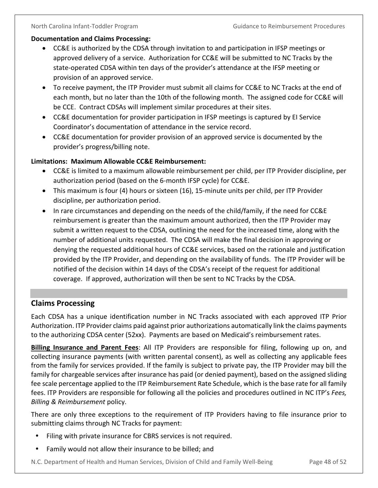#### **Documentation and Claims Processing:**

- CC&E is authorized by the CDSA through invitation to and participation in IFSP meetings or approved delivery of a service. Authorization for CC&E will be submitted to NC Tracks by the state-operated CDSA within ten days of the provider's attendance at the IFSP meeting or provision of an approved service.
- To receive payment, the ITP Provider must submit all claims for CC&E to NC Tracks at the end of each month, but no later than the 10th of the following month. The assigned code for CC&E will be CCE. Contract CDSAs will implement similar procedures at their sites.
- CC&E documentation for provider participation in IFSP meetings is captured by EI Service Coordinator's documentation of attendance in the service record.
- CC&E documentation for provider provision of an approved service is documented by the provider's progress/billing note.

### **Limitations: Maximum Allowable CC&E Reimbursement:**

- CC&E is limited to a maximum allowable reimbursement per child, per ITP Provider discipline, per authorization period (based on the 6-month IFSP cycle) for CC&E.
- This maximum is four (4) hours or sixteen (16), 15-minute units per child, per ITP Provider discipline, per authorization period.
- In rare circumstances and depending on the needs of the child/family, if the need for CC&E reimbursement is greater than the maximum amount authorized, then the ITP Provider may submit a written request to the CDSA, outlining the need for the increased time, along with the number of additional units requested. The CDSA will make the final decision in approving or denying the requested additional hours of CC&E services, based on the rationale and justification provided by the ITP Provider, and depending on the availability of funds. The ITP Provider will be notified of the decision within 14 days of the CDSA's receipt of the request for additional coverage. If approved, authorization will then be sent to NC Tracks by the CDSA.

## <span id="page-51-0"></span>**Claims Processing**

Each CDSA has a unique identification number in NC Tracks associated with each approved ITP Prior Authorization. ITP Provider claims paid against prior authorizations automatically link the claims payments to the authorizing CDSA center (52xx). Payments are based on Medicaid's reimbursement rates.

**Billing Insurance and Parent Fees**: All ITP Providers are responsible for filing, following up on, and collecting insurance payments (with written parental consent), as well as collecting any applicable fees from the family for services provided. If the family is subject to private pay, the ITP Provider may bill the family for chargeable services after insurance has paid (or denied payment), based on the assigned sliding fee scale percentage applied to the ITP Reimbursement Rate Schedule, which is the base rate for all family fees. ITP Providers are responsible for following all the policies and procedures outlined in NC ITP's *Fees, Billing & Reimbursement* policy.

There are only three exceptions to the requirement of ITP Providers having to file insurance prior to submitting claims through NC Tracks for payment:

- Filing with private insurance for CBRS services is not required.
- Family would not allow their insurance to be billed; and

N.C. Department of Health and Human Services, Division of Child and Family Well-Being Page 48 of 52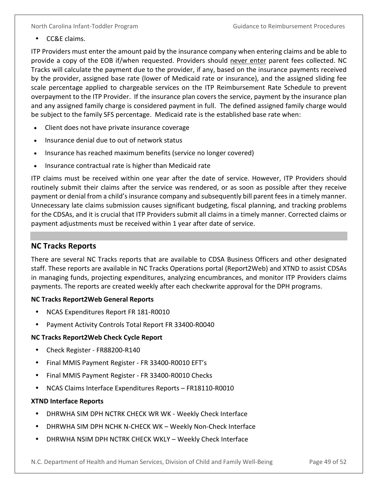• CC&E claims.

ITP Providers must enter the amount paid by the insurance company when entering claims and be able to provide a copy of the EOB if/when requested. Providers should never enter parent fees collected. NC Tracks will calculate the payment due to the provider, if any, based on the insurance payments received by the provider, assigned base rate (lower of Medicaid rate or insurance), and the assigned sliding fee scale percentage applied to chargeable services on the ITP Reimbursement Rate Schedule to prevent overpayment to the ITP Provider. If the insurance plan covers the service, payment by the insurance plan and any assigned family charge is considered payment in full. The defined assigned family charge would be subject to the family SFS percentage. Medicaid rate is the established base rate when:

- Client does not have private insurance coverage
- Insurance denial due to out of network status
- Insurance has reached maximum benefits (service no longer covered)
- Insurance contractual rate is higher than Medicaid rate

ITP claims must be received within one year after the date of service. However, ITP Providers should routinely submit their claims after the service was rendered, or as soon as possible after they receive payment or denial from a child's insurance company and subsequently bill parent fees in a timely manner. Unnecessary late claims submission causes significant budgeting, fiscal planning, and tracking problems for the CDSAs, and it is crucial that ITP Providers submit all claims in a timely manner. Corrected claims or payment adjustments must be received within 1 year after date of service.

## <span id="page-52-0"></span>**NC Tracks Reports**

There are several NC Tracks reports that are available to CDSA Business Officers and other designated staff. These reports are available in NC Tracks Operations portal (Report2Web) and XTND to assist CDSAs in managing funds, projecting expenditures, analyzing encumbrances, and monitor ITP Providers claims payments. The reports are created weekly after each checkwrite approval for the DPH programs.

#### **NC Tracks Report2Web General Reports**

- NCAS Expenditures Report FR 181-R0010
- Payment Activity Controls Total Report FR 33400-R0040

## **NC Tracks Report2Web Check Cycle Report**

- Check Register FR88200-R140
- Final MMIS Payment Register FR 33400-R0010 EFT's
- Final MMIS Payment Register FR 33400-R0010 Checks
- NCAS Claims Interface Expenditures Reports FR18110-R0010

#### **XTND Interface Reports**

- DHRWHA SIM DPH NCTRK CHECK WR WK Weekly Check Interface
- DHRWHA SIM DPH NCHK N-CHECK WK Weekly Non-Check Interface
- DHRWHA NSIM DPH NCTRK CHECK WKLY Weekly Check Interface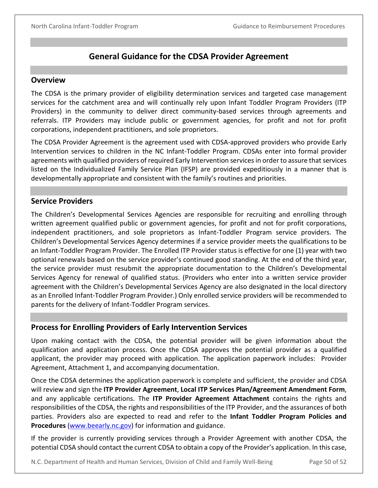## **General Guidance for the CDSA Provider Agreement**

#### <span id="page-53-1"></span><span id="page-53-0"></span>**Overview**

The CDSA is the primary provider of eligibility determination services and targeted case management services for the catchment area and will continually rely upon Infant Toddler Program Providers (ITP Providers) in the community to deliver direct community-based services through agreements and referrals. ITP Providers may include public or government agencies, for profit and not for profit corporations, independent practitioners, and sole proprietors.

The CDSA Provider Agreement is the agreement used with CDSA-approved providers who provide Early Intervention services to children in the NC Infant-Toddler Program. CDSAs enter into formal provider agreements with qualified providers of required Early Intervention services in order to assure that services listed on the Individualized Family Service Plan (IFSP) are provided expeditiously in a manner that is developmentally appropriate and consistent with the family's routines and priorities.

## <span id="page-53-2"></span>**Service Providers**

The Children's Developmental Services Agencies are responsible for recruiting and enrolling through written agreement qualified public or government agencies, for profit and not for profit corporations, independent practitioners, and sole proprietors as Infant-Toddler Program service providers. The Children's Developmental Services Agency determines if a service provider meets the qualifications to be an Infant-Toddler Program Provider. The Enrolled ITP Provider status is effective for one (1) year with two optional renewals based on the service provider's continued good standing. At the end of the third year, the service provider must resubmit the appropriate documentation to the Children's Developmental Services Agency for renewal of qualified status. (Providers who enter into a written service provider agreement with the Children's Developmental Services Agency are also designated in the local directory as an Enrolled Infant-Toddler Program Provider.) Only enrolled service providers will be recommended to parents for the delivery of Infant-Toddler Program services.

## <span id="page-53-3"></span>**Process for Enrolling Providers of Early Intervention Services**

Upon making contact with the CDSA, the potential provider will be given information about the qualification and application process. Once the CDSA approves the potential provider as a qualified applicant, the provider may proceed with application. The application paperwork includes: Provider Agreement, Attachment 1, and accompanying documentation.

Once the CDSA determines the application paperwork is complete and sufficient, the provider and CDSA will review and sign the **ITP Provider Agreement**, **Local ITP Services Plan/Agreement Amendment Form**, and any applicable certifications. The **ITP Provider Agreement Attachment** contains the rights and responsibilities of the CDSA, the rights and responsibilities of the ITP Provider, and the assurances of both parties. Providers also are expected to read and refer to the **Infant Toddler Program Policies and Procedures** (www.beearly.nc.gov) for information and guidance.

If the provider is currently providing services through a Provider Agreement with another CDSA, the potential CDSA should contact the current CDSA to obtain a copy of the Provider's application. In this case,

N.C. Department of Health and Human Services, Division of Child and Family Well-Being Page 50 of 52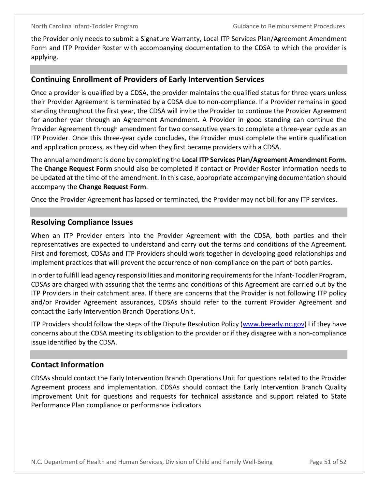the Provider only needs to submit a Signature Warranty, Local ITP Services Plan/Agreement Amendment Form and ITP Provider Roster with accompanying documentation to the CDSA to which the provider is applying.

#### <span id="page-54-0"></span>**Continuing Enrollment of Providers of Early Intervention Services**

Once a provider is qualified by a CDSA, the provider maintains the qualified status for three years unless their Provider Agreement is terminated by a CDSA due to non-compliance. If a Provider remains in good standing throughout the first year, the CDSA will invite the Provider to continue the Provider Agreement for another year through an Agreement Amendment. A Provider in good standing can continue the Provider Agreement through amendment for two consecutive years to complete a three-year cycle as an ITP Provider. Once this three-year cycle concludes, the Provider must complete the entire qualification and application process, as they did when they first became providers with a CDSA.

The annual amendment is done by completing the **Local ITP Services Plan/Agreement Amendment Form**. The **Change Request Form** should also be completed if contact or Provider Roster information needs to be updated at the time of the amendment. In this case, appropriate accompanying documentation should accompany the **Change Request Form**.

Once the Provider Agreement has lapsed or terminated, the Provider may not bill for any ITP services.

### <span id="page-54-1"></span>**Resolving Compliance Issues**

When an ITP Provider enters into the Provider Agreement with the CDSA, both parties and their representatives are expected to understand and carry out the terms and conditions of the Agreement. First and foremost, CDSAs and ITP Providers should work together in developing good relationships and implement practices that will prevent the occurrence of non-compliance on the part of both parties.

In order to fulfill lead agency responsibilities and monitoring requirements for the Infant-Toddler Program, CDSAs are charged with assuring that the terms and conditions of this Agreement are carried out by the ITP Providers in their catchment area. If there are concerns that the Provider is not following ITP policy and/or Provider Agreement assurances, CDSAs should refer to the current Provider Agreement and contact the Early Intervention Branch Operations Unit.

ITP Providers should follow the steps of the Dispute Resolution Policy (www.beearly.nc.gov) I if they have concerns about the CDSA meeting its obligation to the provider or if they disagree with a non-compliance issue identified by the CDSA.

## <span id="page-54-2"></span>**Contact Information**

CDSAs should contact the Early Intervention Branch Operations Unit for questions related to the Provider Agreement process and implementation. CDSAs should contact the Early Intervention Branch Quality Improvement Unit for questions and requests for technical assistance and support related to State Performance Plan compliance or performance indicators